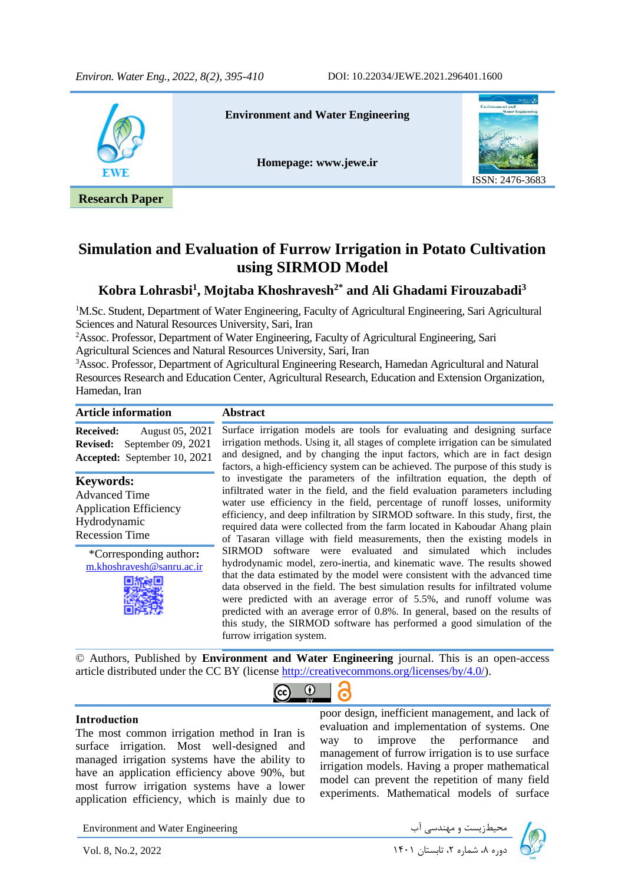

## **Simulation and Evaluation of Furrow Irrigation in Potato Cultivation using SIRMOD Model**

## **Kobra Lohrasbi<sup>1</sup> , Mojtaba Khoshravesh2\* and Ali Ghadami Firouzabadi<sup>3</sup>**

<sup>1</sup>M.Sc. Student, Department of Water Engineering, Faculty of Agricultural Engineering, Sari Agricultural Sciences and Natural Resources University, Sari, Iran

<sup>2</sup>Assoc. Professor, Department of Water Engineering, Faculty of Agricultural Engineering, Sari Agricultural Sciences and Natural Resources University, Sari, Iran

<sup>3</sup>Assoc. Professor, Department of Agricultural Engineering Research, Hamedan Agricultural and Natural Resources Research and Education Center, Agricultural Research, Education and Extension Organization, Hamedan, Iran

| <b>Article information</b>                                                                                         | <b>Abstract</b>                                                                                                                                                                                                                                                                                                                                                                                                                                                                                                                                                                  |
|--------------------------------------------------------------------------------------------------------------------|----------------------------------------------------------------------------------------------------------------------------------------------------------------------------------------------------------------------------------------------------------------------------------------------------------------------------------------------------------------------------------------------------------------------------------------------------------------------------------------------------------------------------------------------------------------------------------|
| August 05, 2021<br><b>Received:</b><br>September $09, 2021$<br><b>Revised:</b><br>Accepted: September 10, 2021     | Surface irrigation models are tools for evaluating and designing surface<br>irrigation methods. Using it, all stages of complete irrigation can be simulated<br>and designed, and by changing the input factors, which are in fact design<br>factors, a high-efficiency system can be achieved. The purpose of this study is                                                                                                                                                                                                                                                     |
| <b>Keywords:</b><br><b>Advanced Time</b><br><b>Application Efficiency</b><br>Hydrodynamic<br><b>Recession Time</b> | to investigate the parameters of the infiltration equation, the depth of<br>infiltrated water in the field, and the field evaluation parameters including<br>water use efficiency in the field, percentage of runoff losses, uniformity<br>efficiency, and deep infiltration by SIRMOD software. In this study, first, the<br>required data were collected from the farm located in Kaboudar Ahang plain<br>of Tasaran village with field measurements, then the existing models in                                                                                              |
| *Corresponding author:<br>m.khoshravesh@sanru.ac.ir                                                                | software were evaluated and simulated which includes<br><b>SIRMOD</b><br>hydrodynamic model, zero-inertia, and kinematic wave. The results showed<br>that the data estimated by the model were consistent with the advanced time<br>data observed in the field. The best simulation results for infiltrated volume<br>were predicted with an average error of 5.5%, and runoff volume was<br>predicted with an average error of 0.8%. In general, based on the results of<br>this study, the SIRMOD software has performed a good simulation of the<br>furrow irrigation system. |

© Authors, Published by **Environment and Water Engineering** journal. This is an open-access article distributed under the CC BY (license [http://creativecommons.org/licenses/by/4.0/\)](http://creativecommons.org/licenses/by/4.0/).

 $\odot$ 

l,

G

### **Introduction**

The most common irrigation method in Iran is surface irrigation. Most well-designed and managed irrigation systems have the ability to have an application efficiency above 90%, but most furrow irrigation systems have a lower application efficiency, which is mainly due to

poor design, inefficient management, and lack of evaluation and implementation of systems. One way to improve the performance and management of furrow irrigation is to use surface irrigation models. Having a proper mathematical model can prevent the repetition of many field experiments. Mathematical models of surface

Environment and Water Engineering

دوره ،8 شماره ،2 تابستان 1401 2022 .2,No 8, .Vol

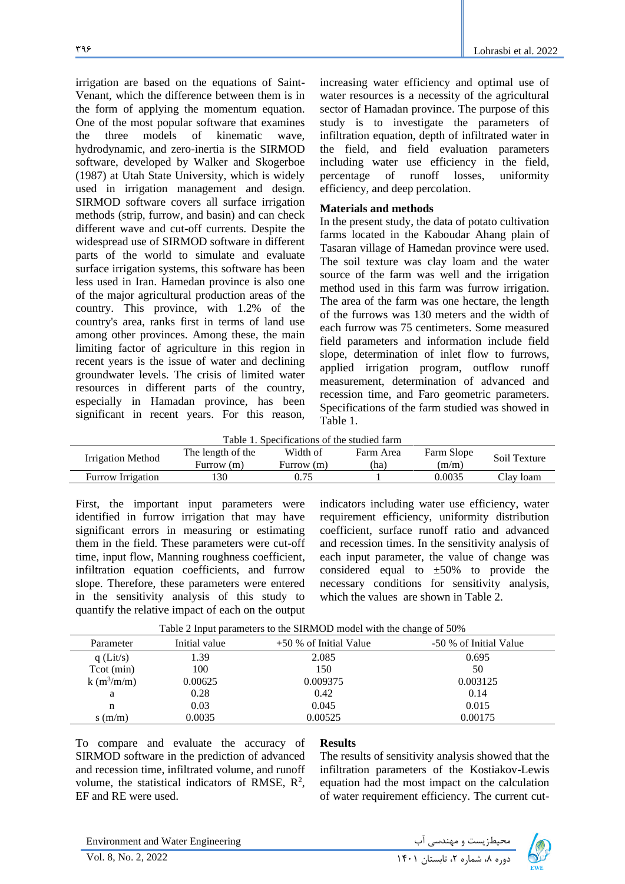irrigation are based on the equations of Saint-Venant, which the difference between them is in the form of applying the momentum equation. One of the most popular software that examines the three models of kinematic wave, hydrodynamic, and zero-inertia is the SIRMOD software, developed by Walker and Skogerboe (1987) at Utah State University, which is widely used in irrigation management and design. SIRMOD software covers all surface irrigation methods (strip, furrow, and basin) and can check different wave and cut-off currents. Despite the widespread use of SIRMOD software in different parts of the world to simulate and evaluate surface irrigation systems, this software has been less used in Iran. Hamedan province is also one of the major agricultural production areas of the country. This province, with 1.2% of the country's area, ranks first in terms of land use among other provinces. Among these, the main limiting factor of agriculture in this region in recent years is the issue of water and declining groundwater levels. The crisis of limited water resources in different parts of the country, especially in Hamadan province, has been significant in recent years. For this reason,

increasing water efficiency and optimal use of water resources is a necessity of the agricultural sector of Hamadan province. The purpose of this study is to investigate the parameters of infiltration equation, depth of infiltrated water in the field, and field evaluation parameters including water use efficiency in the field, percentage of runoff losses, uniformity efficiency, and deep percolation.

#### **Materials and methods**

In the present study, the data of potato cultivation farms located in the Kaboudar Ahang plain of Tasaran village of Hamedan province were used. The soil texture was clay loam and the water source of the farm was well and the irrigation method used in this farm was furrow irrigation. The area of the farm was one hectare, the length of the furrows was 130 meters and the width of each furrow was 75 centimeters. Some measured field parameters and information include field slope, determination of inlet flow to furrows, applied irrigation program, outflow runoff measurement, determination of advanced and recession time, and Faro geometric parameters. Specifications of the farm studied was showed in Table 1.

Table 1. Specifications of the studied farm

|                   | The length of the | Width of   | Farm Area | Farm Slope | Soil Texture |
|-------------------|-------------------|------------|-----------|------------|--------------|
| Irrigation Method | Furrow (m)        | Furrow (m) | 'ha)      | (m/m)      |              |
| Furrow Irrigation | 30                | 0.75       |           | 0.0035     | Clay loam    |

First, the important input parameters were identified in furrow irrigation that may have significant errors in measuring or estimating them in the field. These parameters were cut-off time, input flow, Manning roughness coefficient, infiltration equation coefficients, and furrow slope. Therefore, these parameters were entered in the sensitivity analysis of this study to quantify the relative impact of each on the output

indicators including water use efficiency, water requirement efficiency, uniformity distribution coefficient, surface runoff ratio and advanced and recession times. In the sensitivity analysis of each input parameter, the value of change was considered equal to  $\pm 50\%$  to provide the necessary conditions for sensitivity analysis, which the values are shown in Table 2.

|              |               | Table 2 input parameters to the SIRMOD model with the change of $50\%$ |                        |
|--------------|---------------|------------------------------------------------------------------------|------------------------|
| Parameter    | Initial value | $+50\%$ of Initial Value                                               | -50 % of Initial Value |
| $q$ (Lit/s)  | 1.39          | 2.085                                                                  | 0.695                  |
| Tot (min)    | 100           | 150                                                                    | 50                     |
| $k(m^3/m/m)$ | 0.00625       | 0.009375                                                               | 0.003125               |
| a            | 0.28          | 0.42                                                                   | 0.14                   |
| n            | 0.03          | 0.045                                                                  | 0.015                  |
| s(m/m)       | 0.0035        | 0.00525                                                                | 0.00175                |

Table 2 Input parameters to the SIRMOD model with the change of 50%

To compare and evaluate the accuracy of SIRMOD software in the prediction of advanced and recession time, infiltrated volume, and runoff volume, the statistical indicators of RMSE,  $R^2$ , EF and RE were used.

### **Results**

The results of sensitivity analysis showed that the infiltration parameters of the Kostiakov-Lewis equation had the most impact on the calculation of water requirement efficiency. The current cut-

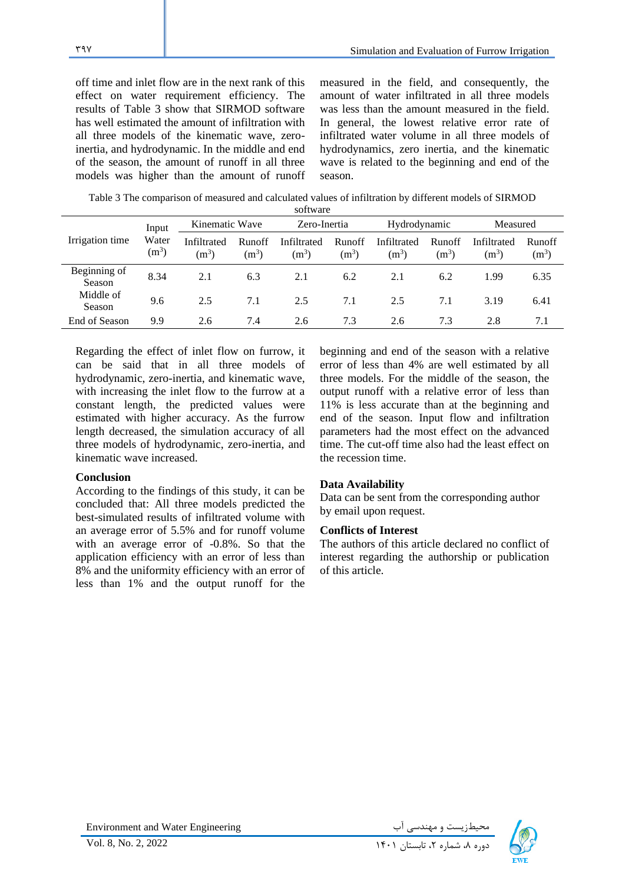off time and inlet flow are in the next rank of this effect on water requirement efficiency. The results of Table 3 show that SIRMOD software has well estimated the amount of infiltration with all three models of the kinematic wave, zeroinertia, and hydrodynamic. In the middle and end of the season, the amount of runoff in all three models was higher than the amount of runoff

measured in the field, and consequently, the amount of water infiltrated in all three models was less than the amount measured in the field. In general, the lowest relative error rate of infiltrated water volume in all three models of hydrodynamics, zero inertia, and the kinematic wave is related to the beginning and end of the season.

Table 3 The comparison of measured and calculated values of infiltration by different models of SIRMOD

| software               |                  |                        |                   |                        |                          |                        |                   |                        |                          |
|------------------------|------------------|------------------------|-------------------|------------------------|--------------------------|------------------------|-------------------|------------------------|--------------------------|
|                        | Input            | Kinematic Wave         |                   | Zero-Inertia           |                          | Hydrodynamic           |                   | Measured               |                          |
| Irrigation time        | Water<br>$(m^3)$ | Infiltrated<br>$(m^3)$ | Runoff<br>$(m^3)$ | Infiltrated<br>$(m^3)$ | <b>Runoff</b><br>$(m^3)$ | Infiltrated<br>$(m^3)$ | Runoff<br>$(m^3)$ | Infiltrated<br>$(m^3)$ | <b>Runoff</b><br>$(m^3)$ |
| Beginning of<br>Season | 8.34             | 2.1                    | 6.3               | 2.1                    | 6.2                      | 2.1                    | 6.2               | 1.99                   | 6.35                     |
| Middle of<br>Season    | 9.6              | 2.5                    | 7.1               | 2.5                    | 7.1                      | 2.5                    | 7.1               | 3.19                   | 6.41                     |
| End of Season          | 9.9              | 2.6                    | 7.4               | 2.6                    | 7.3                      | 2.6                    | 7.3               | 2.8                    | 7.1                      |

Regarding the effect of inlet flow on furrow, it can be said that in all three models of hydrodynamic, zero-inertia, and kinematic wave, with increasing the inlet flow to the furrow at a constant length, the predicted values were estimated with higher accuracy. As the furrow length decreased, the simulation accuracy of all three models of hydrodynamic, zero-inertia, and kinematic wave increased.

### **Conclusion**

According to the findings of this study, it can be concluded that: All three models predicted the best-simulated results of infiltrated volume with an average error of 5.5% and for runoff volume with an average error of -0.8%. So that the application efficiency with an error of less than 8% and the uniformity efficiency with an error of less than 1% and the output runoff for the

beginning and end of the season with a relative error of less than 4% are well estimated by all three models. For the middle of the season, the output runoff with a relative error of less than 11% is less accurate than at the beginning and end of the season. Input flow and infiltration parameters had the most effect on the advanced time. The cut-off time also had the least effect on the recession time.

### **Data Availability**

Data can be sent from the corresponding author by email upon request.

### **Conflicts of Interest**

The authors of this article declared no conflict of interest regarding the authorship or publication of this article.

Environment and Water Engineering

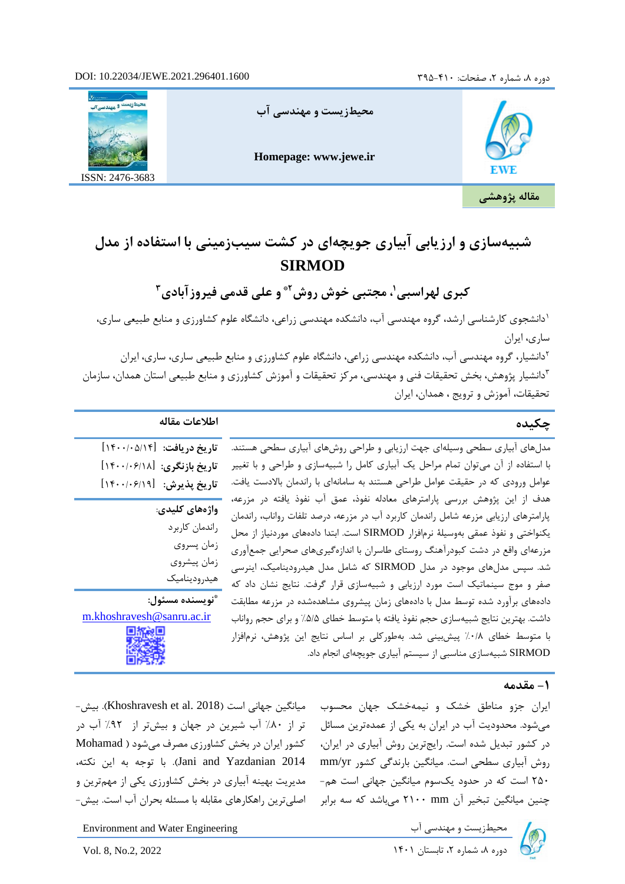

# **شبیهسازی و ارزیابی آبیاری جویچهای در کشت سیبزمینی با استفاده از مدل SIRMOD**

**3 و علی قدمی فیروزآبادی 2\* ، مجتبی خوش روش <sup>1</sup> کبری لهراسبی**

1 دانشجوی کارشناسی ارشد، گروه مهندسی آب، دانشکده مهندسی زراعی، دانشگاه علوم کشاورزی و منابع طبیعی ساری، ساری، ایران

دانشیار، گروه مهندسی آب، دانشکده مهندسی زراعی، دانشگاه علوم کشاورزی و منابع طبیعی ساری، ساری، ایران 3 دانشیار پژوهش، بخش تحقیقات فنی و مهندسی، مرکز تحقیقات و آموزش کشاورزی و منابع طبیعی استان همدان، سازمان تحقیقات، آموزش و ترویج ، همدان، ایران

| اطلاعات مقاله                                                                                                                                                                                                                                                                                                                                                                                                                                                                                                                                                                                                                                                                                                                                                                                                                                                                                                            | چکیده |
|--------------------------------------------------------------------------------------------------------------------------------------------------------------------------------------------------------------------------------------------------------------------------------------------------------------------------------------------------------------------------------------------------------------------------------------------------------------------------------------------------------------------------------------------------------------------------------------------------------------------------------------------------------------------------------------------------------------------------------------------------------------------------------------------------------------------------------------------------------------------------------------------------------------------------|-------|
| تاريخ دريافت: [١۴٠٠/٠۵/١۴]<br>مدلهای آبیاری سطحی وسیلهای جهت ارزیابی و طراحی روشهای آبیاری سطحی هستند.<br>با استفاده از آن میتوان تمام مراحل یک آبیاری کامل را شبیهسازی و طراحی و با تغییر<br>تاريخ بازنگري: [١٢٠٠/٠۶/١٨]<br>عوامل ورودی که در حقیقت عوامل طراحی هستند به سامانهای با راندمان بالادست یافت.<br>تاريخ پذيرش: [١٤٠٠/٠۶/١٩]<br>هدف از این پژوهش بررسی پارامترهای معادله نفوذ، عمق آب نفوذ یافته در مزرعه،<br>واژەھاي كليدى:<br>پارامترهای ارزیابی مزرعه شامل راندمان کاربرد آب در مزرعه، درصد تلفات رواناب، راندمان<br>راندمان كاربرد<br>یکنواختی و نفوذ عمقی بهوسیلهٔ نرمافزار SIRMOD است. ابتدا دادههای موردنیاز از محل<br>زمان پسروي<br>مزرعهای واقع در دشت کبودرآهنگ روستای طاسران با اندازهگیریهای صحرایی جمعآوری<br>زمان پيشروي<br>شد. سپس مدلهای موجود در مدل SIRMOD که شامل مدل هیدرودینامیک، اینرسی<br>هيدروديناميك<br>صفر و موج سینماتیک است مورد ارزیابی و شبیهسازی قرار گرفت. نتایج نشان داد که |       |
| أنويسنده مسئول:<br>دادههای برآورد شده توسط مدل با دادههای زمان پیشروی مشاهدهشده در مزرعه مطابقت<br>m.khoshravesh@sanru.ac.ir<br>داشت. بهترین نتایج شبیهسازی حجم نفوذ یافته با متوسط خطای ۵/۵٪ و برای حجم رواناب<br>با متوسط خطای ۰/۸٪ پیشبینی شد. بهطورکلی بر اساس نتایج این پژوهش، نرمافزار<br>SIRMOD شبیهسازی مناسبی از سیستم آبیاری جویچهای انجام داد.                                                                                                                                                                                                                                                                                                                                                                                                                                                                                                                                                                |       |

## **-1 مقدمه**

یران جزو مناطق خشک و نیمهخشک جهان محسوب میانگین جهانی است (Khoshravesh et al. 2018). بیش-روش آبیاری سطحی است. میانگین بارندگی کشور mm/yr 250 است که در حدود یکسوم میانگین جهانی است هم- چنین میانگین تبخیر آن mm 2100 میباشد که سه برابر

میشود. محدودیت اب در ایران به یکی از عمدهترین مسائل 5 تر از ۸۰٪ اب شیرین در جهان و بیشتر از ۹۲٪ اب در در کشور تبدیل شده است. رایجترین روش آبیاری در ایران، ۔ کشور ایران در بخش کشاورزی مصرف میشود ( Mohamad 2014 Yazdanian and Jani). با توجه به این نکته، مدیریت بهینه آبیاری در بخش کشاورزی یکی از مهمترین و اصلیترین راهکارهای مقابله با مسئله بحران آ ب است. بیش-



Environment and Water Engineering دوره ،8 شماره ،2 تابستان 1401 2022 .2,No 8, .Vol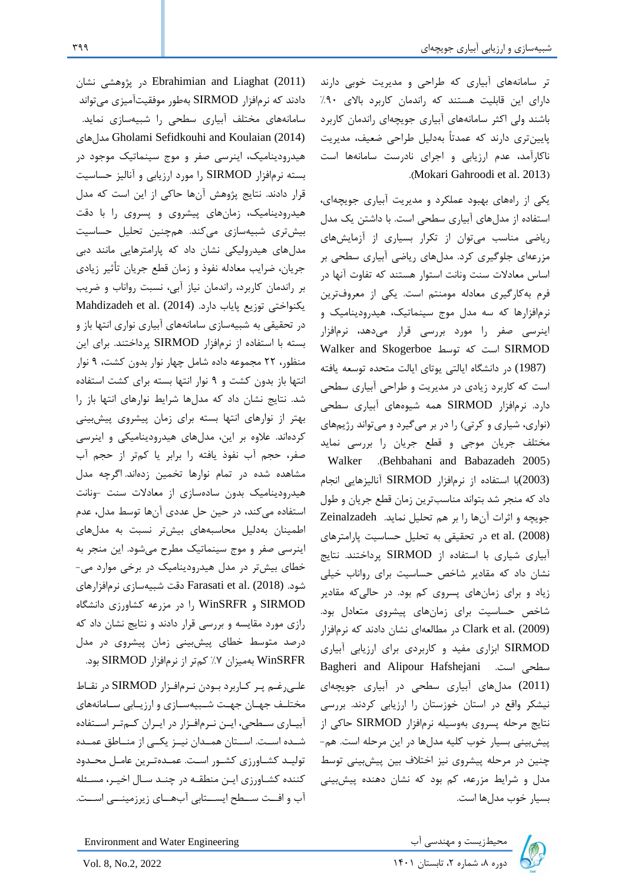تر سامانههای آبیاری که طراحی و مدیریت خوبی دارند دارای این قابلیت هستند که راندمان کاربرد بالای ۹۰٪ باشند ولی اکثر سامانههای آبیاری جویچهای راندمان کاربرد پایینتری دارند که عمدتاً بهدلیل طراحی ضعیف، مدیریت ناکارآمد، عدم ارزیابی و اجرای نادرست سامانهها است .(Mokari Gahroodi et al. 2013)

یکی از راههای بهبود ع ملکرد و مدیریت آبیاری جویچهای، استفاده از مدلهای آبیاری سطحی است. با داشتن یک مدل ریاضی مناسب میتوان از تکرار بسیاری از آزمایشهای مزرعهای جلوگیری کرد. مدلهای ریاضی آبیاری سطحی بر اساس معادالت سنت ونانت استوار هستند که تفاوت آنها در فرم بهکارگیری معادله مومنتم است. یکی از معروفترین نرمافزارها که سه مدل موج سینماتیک، هیدرودینامیک و اینرسی صفر را مورد بررسی قرار میدهد، نرمافزار Walker and Skogerboe توسط که است SIRMOD (1987) در دانشگاه ایالتی یوتای ایالت متحده توسعه یافته است که کاربرد زیادی در مدیریت و طراحی آبیاری سطحی دارد. نرمافزار SIRMOD همه شیوههای آبیاری سطحی (نواری، شیاری و کرتی) را در بر میگیرد و میتواند رژیمهای مختلف جریان موجی و قطع جریان را بررسی نماید Walker .(Behbahani and Babazadeh 2005) (2003)با استفاده از نرمافزار SIRMOD آنالیزهایی انجام داد که منجر شد بتواند مناسبترین زمان قطع جریان و طول جویچه و اثرات آنها را بر هم تحلیل نماید. Zeinalzadeh (2008) .al et در تحقیقی به تحلیل حساسیت پارامترهای آبیاری شیاری با استفاده از SIRMOD پرداختند. نتایج نشان داد که مقادیر شاخص حساسیت برای رواناب خیلی زیاد و برای زمانهای پسروی کم بود. در حالیکه مقادیر شاخص حساسیت برای زمانهای پیشروی متعادل بود. (2009) .al et Clark در مطالعهای نشان دادند که نرمافزار SIRMOD ابزاری مفید و کاربردی برای ارزیابی آبیاری Bagheri and Alipour Hafshejani .است سطحی (2011) مدلهای آبیاری سطحی در آبیاری جویچهای نیشکر واقع در استان خوزستان را ارزیابی کردند. بررسی نتایج مرحله پسروی بهوسیله نرمافزار SIRMOD حاکی از پیشبینی بسیار خوب کلیه مدلها در این مرحله است. هم- چنین در مرحله پیشروی نیز اختالف بین پیشبینی توسط مدل و شرایط مزرعه، کم بود که نشان دهنده پیشبینی بسیار خوب مدل ها است.

Environment and Water Engineering دوره ،8 شماره ،2 تابستان 1401 2022 .2,No 8, .Vol

علییرغیم پیر کیاربرد بیودن نیرمافیزار SIRMOD در نقیا مختلیف جهیان جهییت شیبیهسیازی و ارزیییابی سییامانههای آبییاری سیطحی، ایین نیرمافیزار در اییران کیمتیر اسیتفاده شییده اسییت. اسییتان همییدان نیییز یکییی از منییاطق عمییده تولیـد کشـاورزی کشـور اسـت. عمـدهتـرین عامـل محـدود کننده کشیاورزی ایین منطقیه در چنید سیال اخییر، مسیئله آب و افت سیطح ایستابی آبهیای زیرزمینیی اسیت.

(2011) Liaghat and Ebrahimian در پژوهشی نشان دادند که نرمافزار SIRMOD بهطور موفقیت آمیزی میتواند سامانههای مختلف آبیاری سطحی را شبیه سازی نماید. مدلهای Gholami Sefidkouhi and Koulaian (2014) هیدرودینامیک، اینرسی صفر و موج سینماتیک موجود در بسته نرمافزار SIRMOD را مورد ارزیابی و آنالیز حساسیت قرار دادند. نتایج پژوهش آنها حاکی از این است که مدل هیدرودینامیک، زمانهای پیشروی و پسروی را با دقت بیشتری شبیهسازی میکند. همچنین تحلیل حساسیت مدلهای هیدرولیکی نشان داد که پارامترهایی مانند دبی جریان، ضرایب معادله نفوذ و زمان قطع جریان تأثیر زیادی بر راندمان کاربرد، راندمان نیاز آبی، نسبت رواناب و ضریب یکنواختی توزیع پایاب دارد. (2014) Mahdizadeh et al. (2014) در تحقیقی به شبیهسازی سامانههای آبیاری نواری انتها باز و بسته با استفاده از نرمافزار SIRMOD پرداختند. برای این منظور، 22 مجموعه داده شامل چهار نوار بدون کشت، 9 نوار انتها باز بدون کشت و 9 نوار انتها بسته برای کشت استفاده شد. نتایج نشان داد که مدلها شرایط نوارهای انتها باز را بهتر از نوارهای انتها بسته برای زمان پیشروی پ یشبینی کردهاند. عالوه بر این، مدلهای هیدرود ینامیکی و اینرسی صفر، حجم آب نفوذ یافته را برابر یا کمتر از حجم آب مشاهده شده در تمام نوارها تخمین زدهاند. اگرچه مدل هیدرودینامیک بدون سادهسازی از معادالت سنت -ونانت استفاده میکند، در حین حل عددی آنها توسط مدل، عدم اطمینان بهدلیل محاسبههای بیشتر نسبت به مدلهای اینرسی صفر و موج سینماتیک مطرح میشود. این منجر به خطای بیشتر در مدل هیدرودینامیک در برخی موارد می - شود. (2018) .al et Farasati دقت شبیهسازی نرمافزارهای SIRMOD و WinSRFR را در مزرعه کشاورزی دانشگاه رازی مورد مقایسه و بررسی قرار دادند و نتایج نشان داد که درصد متوسط خطای پیشبینی زمان پیشروی در مدل WinSRFR بهمیزان %7 کمتر از نرمافزار SIRMOD بود.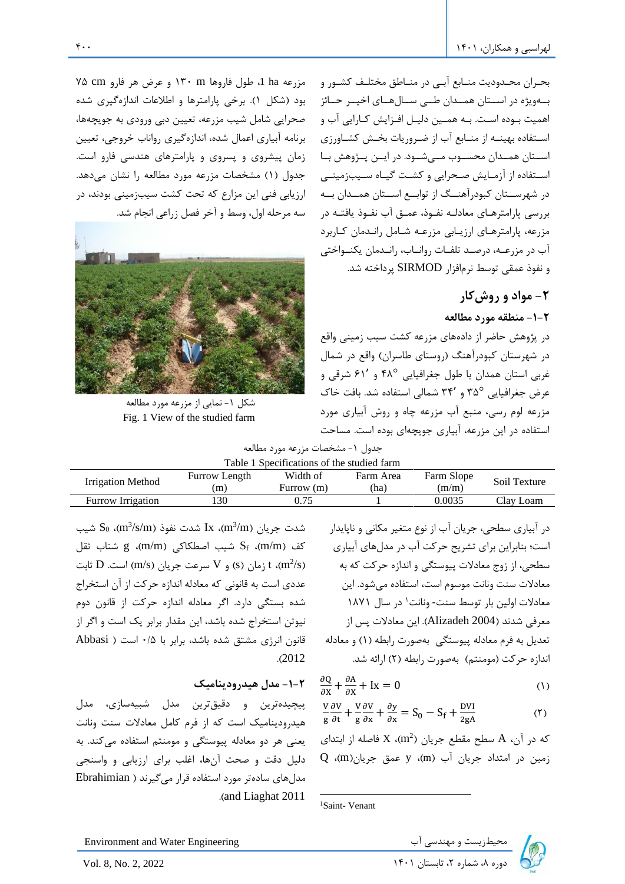بحیران محیدودیت منیابع آبیی در منیاطق مختلیف کشیور و بییهویژه در اسییتان همییدان طییی سییالهییای اخیییر حییائز اهمیت بیوده اسیت. بیه همیین دلییل افیزایش کیارایی آب و اسیتفاده بهینیه از منیابع آب از ضیروریات بخیش کشیاورزی اسییتان همییدان محسییوب میییشییود. در اییین پییژوهش بییا اسیتفاده از آزمیایش صیحرایی و کشیت گییاه سییبزمینیی در شهرسییتان کبودرآهنییگ از توابییع اسییتان همییدان بییه بررسی پارامترهیای معادلیه نفیوذ، عمیق آب نفیوذ یافتیه در مزرعه، پارامترهیای ارزییابی مزرعیه شیامل رانیدمان کیاربرد آب در مزرعییه، درصیید تلفییات روانییاب، رانییدمان یکنییواختی و نفوذ عمقی توسط نرمافزار SIRMOD پرداخته شد.

# **-2 مواد و روشکار**

**-1-2 منطقه مورد مطالعه** 

در پژوهش حاضر از داده های مزرعه کشت سیب زمینی واقع در شهرستان کبودرآهنگ )روستای طاسران( واقع در شمال غربی استان همدان با طول جغرافیایی ° 48 و 61′ شرقی و عرض جغرافیایی ° 35 و 34′ شمالی استفاده شد. بافت خاک مزرعه لوم رسی، منبع آب مزرعه چاه و روش آبیاری مورد استفاده در این مزرعه، آبیاری جویچهای بوده است. مساحت

مزرعه ha ،1 طول فاروها m 130 و عرض هر فارو cm 75 بود )شکل 1(. برخی پارامترها و اطالعات اندازهگیری شده صحرایی شامل شیب مزرعه، تعیین دبی ورودی به جویچهها، برنامه آبیاری اعمال شده، اندازهگیری رواناب خروجی، تعیین زمان پیشروی و پسروی و پارامترهای هندسی فارو است. جدول (۱) مشخصات مزرعه مورد مطالعه را نشان میدهد. ارزیابی فنی این مزارع که تحت کشت سیبزمینی بودند، در سه مرحله اول، وسط و آخر فصل زراعی انجام شد.



شکل ۱- نمایی از مزرعه مورد مطالعه Fig. 1 View of the studied farm

|  |  | جدول ١- مشخصات مزرعه مورد مطالعه |  |
|--|--|----------------------------------|--|
|--|--|----------------------------------|--|

| Table 1 Specifications of the studied farm |            |           |            |              |  |  |  |
|--------------------------------------------|------------|-----------|------------|--------------|--|--|--|
| Furrow Length                              | Width of   | Farm Area | Farm Slope | Soil Texture |  |  |  |
| (m)                                        | Furrow (m) | (ha)      | (m/m)      |              |  |  |  |
| '30                                        | 0.75       |           | 0.0035     | Clay Loam    |  |  |  |
|                                            |            |           |            |              |  |  |  |

شدت جریان (m $^3{\rm /s/m}$ ، Ix شدت نفوذ (m $^3{\rm /s/m}$ )،  $\rm S_0$  شیب کف (m/m)، Sf شیب اصطکاکی g ،(m/m) شتاب ثقل نرمان (S) و  $V$  سرعت جریان (m/s) است. D ثابت  $t$  .(m $^{2}/s$ ) عددی است به قانونی که معادله اندازه حرکت از آن استخراج شده بستگی دارد. اگر معادله اندازه حرکت از قانون دوم نیوتن استخراج شده باشد، این مقدار برابر یک است و اگر از قانون انرژی مشتق شده باشد، برابر با 0/5 است ) Abbasi .)2012

## **-1-2 مدل هیدرودینامیک**

پ یچیدهترین و دقیقترین مدل شبیهسازی، مدل هیدرودینامیکاست که از فرم کامل معادالت سنت ونانت یعنی هر دو معادله پ یوستگی و مومنتم استفاده میکند . به دلیل دقت و صحت آنها ، اغلب برای ارزیابی و واسنجی مدلهای سادهتر مورد استفاده قرار میگیرند ) Ebrahimian .(and Liaghat 2011

در آبیاری سطحی، جریان آب از نوع متغیر مکانی و ناپایدار است؛ بنابراین برای تشریح حرکت آب در مدلهای آبیاری سطحی، از زوج معادالت پ یوستگی و اندازه حرکت که به معادلات سنت ونانت موسوم است، استفاده میشود. این <sup>1</sup> معادالت اولین بار توسط سنت- ونانت در سال 1871 معرفی شدند )2004 Alizadeh). این معادالت پس از تعدیل به فرم معادله پیوستگی بهصورت رابطه (۱) و معادله اندازه حرکت (مومنتم) بهصورت رابطه (۲) ارائه شد.

$$
\frac{\partial Q}{\partial x} + \frac{\partial A}{\partial x} + Ix = 0 \tag{1}
$$

$$
\frac{v}{g}\frac{\partial v}{\partial t} + \frac{v}{g}\frac{\partial v}{\partial x} + \frac{\partial y}{\partial x} = S_0 - S_f + \frac{DVI}{2gA}
$$
 (1)

که در آن، A سطح مقطع جریان (2 $\,$  X (m $^2$ ) که در آن،  $\,$  سطح مقطع جریان  $Q$  (m)،  $y \cdot (m)$ ، y عمق جریان)



Environment and Water Engineering دوره ،8 شماره ،2 تابستان 1401 2022 2, .No 8, .Vol

<sup>1</sup>Saint- Venant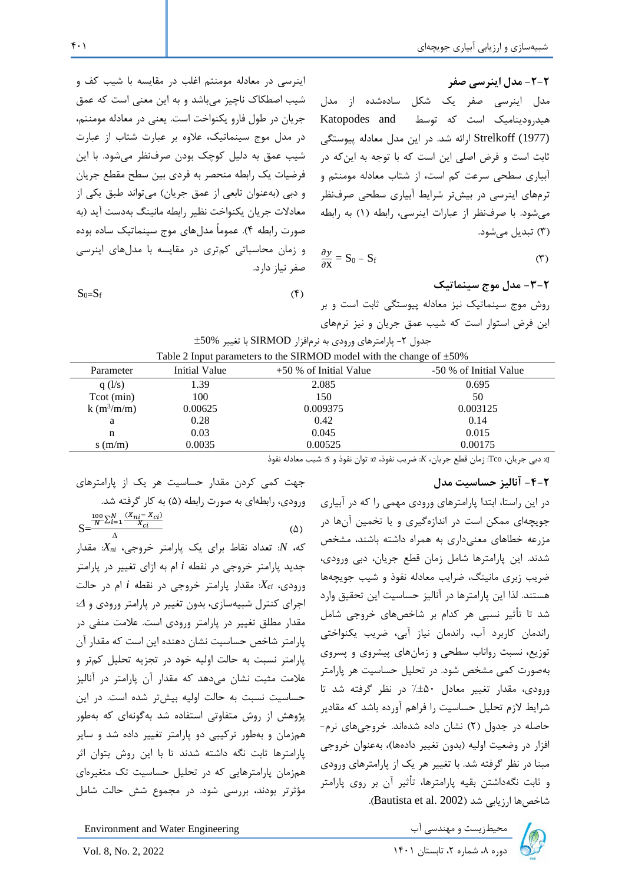## **-2-2 مدل اینرسی صفر**  مدل اینرسی صفر یک شکل سادهشده از مدل هیدرودینامیک است که توسط and Katopodes (1977) Strelkoff ارائه شد. در این مدل معادله پیوستگی ثابت است و فرض اصلی این است که با توجه به اینکه در آبیاری سطحی سرعت کم است، از شتاب معادله مومنتم و ترمهای اینرسی در بیشتر شرایط آبیاری سطحی صرفنظر می شود. با صرفنظر از عبارات اینرسی، رابطه (۱) به رابطه )3( تبدیل میشود.

$$
\frac{\partial y}{\partial x} = S_0 - S_f \tag{(*)}
$$

**-3-2 مدل موج سینماتیک**  روش موج سینماتیک نیز معادله پیوستگی ثابت است و بر این فرض استوار است که شیب عمق جریان و نیز ترمهای

اینرسی در معادله مومنتم اغلب در مقایسه با شیب کف و شیب اصطکاک ناچیز میباشد و به این معنی است که عمق جریان در طول فارو یکنواخت است. یعنی در معادله مومنتم، در مدل موج سینماتیک، عالوه بر عبارت شتاب از عبارت شیب عمق به دلیل کوچک بودن صرفنظر میشود. با این فرضیات یک رابطه منحصر به فردی بین سطح مقطع جریان و دبی (بهعنوان تابعی از عمق جریان) میتواند طبق یکی از معادالت جریان یکنواخت نظیر رابطه مانینگ بهدست آید )به صورت رابطه 4(. عموماً مدلهای موج سینماتیک ساده بوده و زمان محاسباتی کمتری در مقایسه با مدل های اینرسی صفر نیاز دارد.

$$
S_0=S_f \tag{6}
$$

Table 2 Input parameters to the SIRMOD model with the change of  $\pm 50\%$ Parameter Initial Value  $+50\%$  of Initial Value  $-50\%$  of Initial Value q (l/s)  $1.39$   $2.085$   $0.695$ Tcot (min) 100 150 50 k  $(m^3/m/m)$  $(m/m)$  0.00625 0.009375 0.003125 a 0.28 0.42 0.14 n 0.03 0.045 0.015

s (m/m) 0.0035 0.00525 0.00175

 $\pm 50\%$  جدول ۲- پارامترهای ورودی به نرمافزار SIRMOD با تغییر  $+$ 50

*<sup>q</sup>*: دبی جریان، Tco: زمان قطع جریان، *K*: ضریب نفوذ، *a*: توان نفوذ و *s*: شیب معادله نفوذ

## **-4-2 آنالیز حساسیت مدل**

در این راستا، ابتدا پارامترهای ورودی مهمی را که در آبیاری جویچه ای ممکن است در اندازه گیری و یا تخمین آن ها در مزرعه خطاهای معنیداری به همراه داشته باشند، مشخص شدند. این پارامترها شامل زمان قطع جریان، دبی ورودی، ضریب زبری مانینگ، ضرایب معادله نفوذ و شیب جویچه ها هستند. لذا این پارامترها در آنالیز حساسیت این تحقیق وارد شد تا تأثیر نسبی هر کدام بر شاخصهای خروجی شامل راندمان کاربرد آب، راندمان نیاز آبی، ضریب یکنواختی توزیع، نسبت رواناب سطحی و زمانهای پیشروی و پسروی بهصورت کمی مشخص شود. در تحلیل حساسیت هر پارامتر ورودی، مقدار تغییر معادل 50% در نظر گرفته شد تا شرایط الزم تحلیل حساسیت را فراهم آورده باشد که مقادیر حاصله در جدول )2( نشان داده شدهاند. خروجیهای نرم- افزار در وضعیت اولیه (بدون تغییر دادهها)، بهعنوان خروجی مبنا در نظر گرفته شد. با تغییر هر یک از پارامترهای ورودی و ثابت نگهداشتن بقیه پارامترها، تأثیر آن بر روی پارامتر شاخص ها ارزیابی شد (Bautista et al. 2002).

محیطزیست و مهندسی آب Environment and Water Engineering محیطزیست و مهندسی آب

 $S=\frac{N-\epsilon-1}{\Delta} \frac{\lambda_{ci}}{\Delta}$  ( $\Delta$ ) Δ که، *N*: تعداد نقا برای یک پارامتر خروجی، *Xni*: مقدار جدید پارامتر خروجی در نقطه *i* ام به ازای تغییر در پارامتر ورودی، *Xci*: مقدار پارامتر خروجی در نقطه *i* ام در حالت اجرای کنترل شبیه سازی، بدون تغییر در پارامتر ورودی و : مقدار مطلق تغییر در پارامتر ورودی است. عالمت منفی در پارامتر شاخص حساسیت نشان دهنده این است که مقدار آن پارامتر نسبت به حالت اولیه خود در تجزیه تحلیل کمتر و عالمت مثبت نشان میدهد که مقدار آن پارامتر در آنالیز حساسیت نسبت به حالت اولیه بیشتر شده است. در این پژوهش از روش متفاوت ی استفاده شد بهگونهای که بهطور همزمان و بهطور ترکیبی دو پارامتر تغییر داده شد و سایر پارامترها ثابت نگه داشته شدند تا با این روش بتوان اثر همزمان پارامترهایی که در تحلیل حساسیت تک متغیرهای مؤثرتر بودند، بررسی شود. در مجموع شش حالت شامل

جهت کمی کردن مقدار حساسیت هر یک از پارامترهای

ورودی، رابطهای به صورت رابطه (۵) به کار گرفته شد.

 $\frac{100}{N} \sum_{i=1}^{N} \frac{(X_{ni} - X_{ci})}{X_{ci}}$  $\frac{N}{i=1} \frac{(X_{ni} - X_{ci})}{X_{ci}}$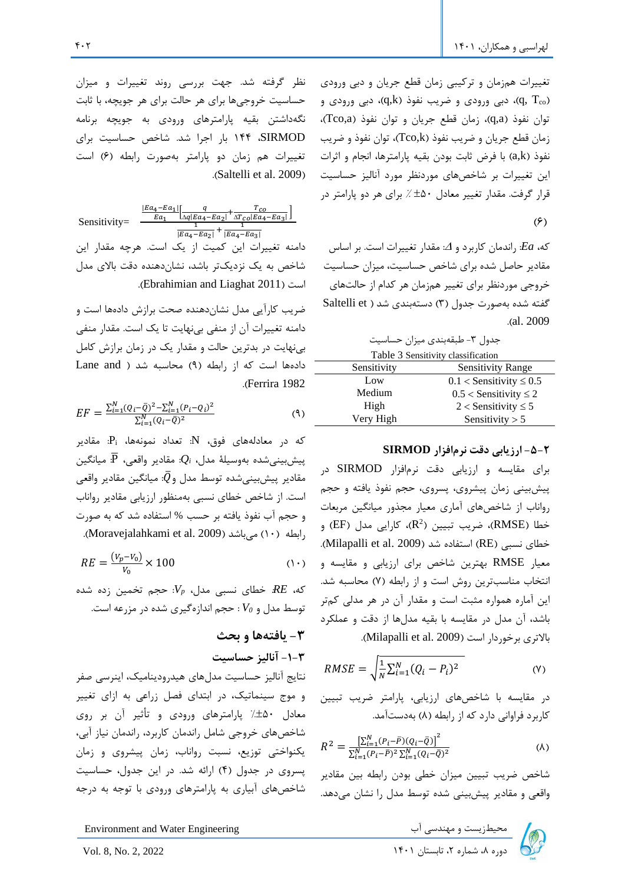تغییرات همزمان و ترکیبی زمان قطع جریان و دبی ورودی )، دبی ورودی و ضریب نفوذ (q,k)، دبی ورودی و (q, T $_{\rm co}$ توان نفوذ )a,q)، زمان قطع جریان و توان نفوذ )a,Tco)، زمان قطع جریان و ضریب نفوذ ) k,Tco)، توان نفوذ و ضریب نفوذ )k,a )با فرض ثابت بودن بقیه پارامترها، انجام و اثرات این تغییرات بر شاخص های موردنظر مورد آنالیز حساسیت قرار گرفت. مقدار تغییر معادل  $\pm$ ۰ ٪ برای هر دو پارامتر در

که،  $Ea$ : راندمان کاربرد و  $\Delta$ : مقدار تغییرات است. بر اساس مقادیر حاصل شده برای شاخص حساسیت، میزان حساسی ت خروجی موردنظر برای تغییر همزمان هر کدام از حالتهای گفته شده بهصورت جدول (۳) دستهبندی شد ( Saltelli et .)al. 2009

جدول ۳- طبقهبندی میزان حساسیت

| Table 3 Sensitivity classification |                                |  |  |  |
|------------------------------------|--------------------------------|--|--|--|
| Sensitivity                        | <b>Sensitivity Range</b>       |  |  |  |
| Low                                | $0.1 <$ Sensitivity $\leq 0.5$ |  |  |  |
| Medium                             | $0.5 <$ Sensitivity $\leq 2$   |  |  |  |
| High                               | $2 <$ Sensitivity $\leq 5$     |  |  |  |
| Very High                          | Sensitivity $> 5$              |  |  |  |

**-5-2 ارزیابی دقت نرمافزار SIRMOD**

برای مقایسه و ارزیابی دقت نرمافزار SIRMOD در پیشبینی زمان پیشروی، پسروی، حجم نفوذ یافته و حجم رواناب از شاخصهای آماری معیار مجذور میانگین مربعات خطا (RMSE)، ضریب تبیین (R $^2$ )، کارایی مدل (EF) و خطای نسبی (RE) استفاده شد (Milapalli et al. 2009). معیار RMSE بهترین شاخص برای ارزیابی و مقایسه و انتخاب مناسبترین روش است و از رابطه (۷) محاسبه شد. این آماره همواره مثبت است و مقدار آن در هر مدلی کمتر باشد، آن مدل در مقایسه با بقیه مدلها از دقت و عملکرد بالاتری برخوردار است (Milapalli et al. 2009).

$$
RMSE = \sqrt{\frac{1}{N} \sum_{i=1}^{N} (Q_i - P_i)^2}
$$
 (Y)

در مقایسه با شاخصهای ارزیابی، پارامتر ضریب تبیین کاربرد فراوانی دارد که از رابطه (۸) بهدستآمد.

$$
R^{2} = \frac{\left[\sum_{i=1}^{N} (P_{i} - \bar{P})(Q_{i} - \bar{Q})\right]^{2}}{\sum_{i=1}^{N} (P_{i} - \bar{P})^{2} \sum_{i=1}^{N} (Q_{i} - \bar{Q})^{2}}
$$
\n
$$
\tag{A}
$$

شاخص ضریب تبیین میزان خطی بودن رابطه بین مقادیر واقعی و مقادیر پیشبینی شده توسط مدل را نشان میدهد.

نظر گرفته شد. جهت بررسی روند تغییرات و میزان حساسیت خروجیها برای هر حالت برای هر جویچه، با ثابت نگهداشتن بقیه پارامترهای ورودی به جویچه برنامه SIRMOD، 144 بار اجرا شد. شاخص حساسیت برای تغییرات هم زمان دو پارامتر بهصورت رابطه )6( است .(Saltelli et al. 2009)

 $(\hat{\epsilon})$ |Ea<sub>4</sub>−Ea<sub>1</sub>|  $\frac{4-Ea_1}{Ea_1}\Big[\frac{q}{\Delta q|Ea_4}$  $\frac{q}{\Delta q|Ea_4-Ea_2|}+\frac{T_{CO}}{\Delta T_{CO}|Ea_4}$  $\frac{1}{\Delta T_{CO} |E a_4 - E a_3|}$ 1  $\frac{1}{|Ea_4-Ea_2|} + \frac{1}{|Ea_4 |Ea_4-Ea_3|$ Sensitivity= دامنه تغییرات این کمیت از یک است. هرچه مقدار این شاخص به یک نزدیکتر باشد، نشاندهنده دقت باالی مدل .)Ebrahimian and Liaghat 2011( است

ضریب کارآیی مدل نشاندهنده صحت برازش دادهها است و دامنه تغییرات آن از منفی بی نهایت تا یک است. مقدار منفی بینهایت در بدترین حالت و مقدار یک در زمان برازش کامل دادهها است که از رابطه (۹) محاسبه شد ( Lane and .)Ferrira 1982

$$
EF = \frac{\sum_{i=1}^{N} (Q_i - \bar{Q})^2 - \sum_{i=1}^{N} (P_i - Q_i)^2}{\sum_{i=1}^{N} (Q_i - \bar{Q})^2}
$$
\n(9)

که در معادلههای فوق، N: تعداد نمونهها ، Pi: مقادیر پیشبینیشده بهوسیلۀ مدل، *¡Q*: مقادیر واقعی،  $\overline{\mathrm{P}}$ : میانگین مقادیر پیشبینی شده توسط مدل و $\bar Q$ : میانگین مقادیر واقعی است. از شاخص خطای نسبی بهمنظور ارزیابی مقادیر رواناب و حجم آب نفوذ یافته بر حسب % استفاده شد که به صورت .)Moravejalahkami et al. 2009( میباشد( 10 )رابطه

$$
RE = \frac{(V_p - V_0)}{V_0} \times 100 \tag{1.1}
$$

 حجم تخمین زده شده که، *RE*: خطای نسبی مدل، *Vp*: توسط مدل و *0V* : حجم اندازهگیری شده در مزرعه است.

### **-3 یافتهها و بحث**

**-1-3 آنالیز حساسیت** 

نتایج آنالیز حساسیت مدلهای هیدرودینامیک، اینرسی صفر و موج سینماتیک، در ابتدای فصل زراعی به ازای تغییر معادل 50% پارامترهای ورودی و تأثیر آن بر روی شاخصهای خروجی شامل راندمان کاربرد، راندمان نیاز آبی، یکنواختی توزیع، نسبت رواناب، زمان پیشروی و زمان پسروی در جدول )4( ارائه شد. در این جدول، حساسیت شاخصهای آبیاری به پارامترهای ورودی با توجه به درجه

محیطزیست و مهندسی اب Environment and Water Engineering محیطزیست و مهندسی اب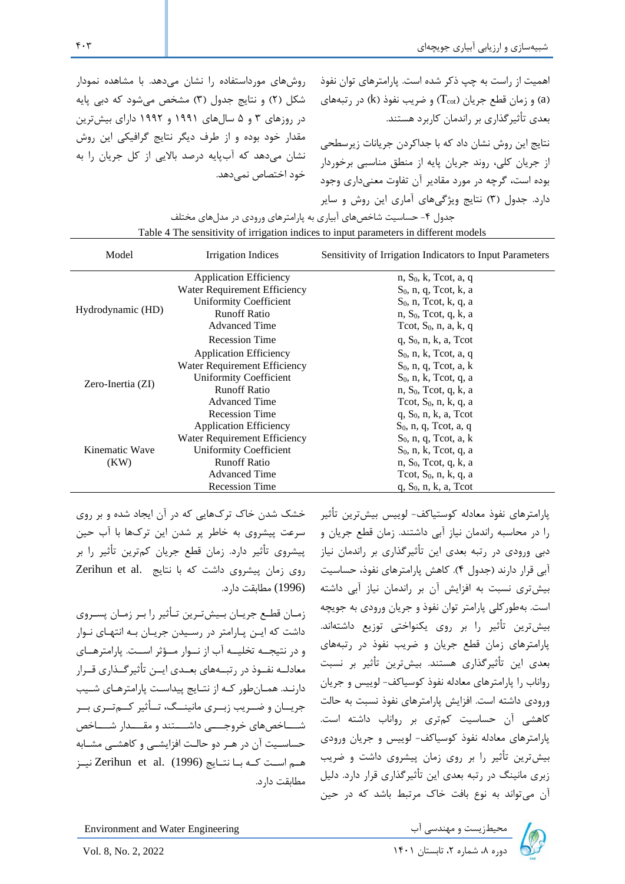| روشهای مورداستفاده را نشان میدهد. با مشاهده نمودار | همیت از راست به چپ ذکر شده است. پارامترهای توان نفوذ              |
|----------------------------------------------------|-------------------------------------------------------------------|
| شکل (۲) و نتایج جدول (۳) مشخص میشود که دبی پایه    | (a) و زمان قطع جریان (T $_{\rm cot}$ ) و ضریب نفوذ (k) در رتبههای |
| در روزهای ۳ و ۵ سالهای ۱۹۹۱ و ۱۹۹۲ دارای بیشترین   | بعدی تأثیرگذاری بر راندمان کاربرد هستند.                          |
| مقدار خود بوده و از طرف دیگر نتایج گرافیکی این روش | نتایج این روش نشان داد که با جداکردن جریانات زیرسطحی              |
| نشان میدهد که آبپایه درصد بالایی از کل جریان را به | ز جریان کلی، روند جریان پایه از منطق مناسبی برخوردار              |
| خود اختصاص نمي دهد.                                | بوده است، گرچه در مورد مقادیر آن تفاوت معنیداری وجود              |
|                                                    | دارد. جدول (۳) نتایج ویژگیهای آماری این روش و سایر                |

| جدول ۴- حساسیت شاخصهای ابیاری به پارامترهای ورودی در مدلهای مختلف |                                                                                       |                                                          |  |  |  |  |  |
|-------------------------------------------------------------------|---------------------------------------------------------------------------------------|----------------------------------------------------------|--|--|--|--|--|
|                                                                   | Table 4 The sensitivity of irrigation indices to input parameters in different models |                                                          |  |  |  |  |  |
| Model                                                             | Irrigation Indices                                                                    | Sensitivity of Irrigation Indicators to Input Parameters |  |  |  |  |  |
|                                                                   | <b>Application Efficiency</b>                                                         | n, $S_0$ , k, Tcot, a, q                                 |  |  |  |  |  |
|                                                                   | Water Requirement Efficiency                                                          | $S_0$ , n, q, Tcot, k, a                                 |  |  |  |  |  |
|                                                                   | Uniformity Coefficient                                                                | $S_0$ , n, Tcot, k, q, a                                 |  |  |  |  |  |
| Hydrodynamic (HD)                                                 | <b>Runoff Ratio</b>                                                                   | $n, S_0$ , Tcot, q, k, a                                 |  |  |  |  |  |
|                                                                   | <b>Advanced Time</b>                                                                  | Tcot, $S_0$ , n, a, k, q                                 |  |  |  |  |  |
|                                                                   | <b>Recession Time</b>                                                                 | $q, S_0, n, k, a, Tcot$                                  |  |  |  |  |  |
|                                                                   | <b>Application Efficiency</b>                                                         | $S_0$ , n, k, Tcot, a, q                                 |  |  |  |  |  |
|                                                                   | Water Requirement Efficiency                                                          | $S_0$ , n, q, Tcot, a, k                                 |  |  |  |  |  |
|                                                                   | <b>Uniformity Coefficient</b>                                                         | $S_0$ , n, k, Tcot, q, a                                 |  |  |  |  |  |
| Zero-Inertia (ZI)                                                 | <b>Runoff Ratio</b>                                                                   | $n, S_0$ , Tcot, q, k, a                                 |  |  |  |  |  |
|                                                                   | <b>Advanced Time</b>                                                                  | Tcot, $S_0$ , n, k, q, a                                 |  |  |  |  |  |
|                                                                   | <b>Recession Time</b>                                                                 | $q, S_0, n, k, a, Tcot$                                  |  |  |  |  |  |
|                                                                   | <b>Application Efficiency</b>                                                         | $S_0$ , n, q, Tcot, a, q                                 |  |  |  |  |  |
|                                                                   | Water Requirement Efficiency                                                          | $S_0$ , n, q, Tcot, a, k                                 |  |  |  |  |  |
| Kinematic Wave                                                    | <b>Uniformity Coefficient</b>                                                         | $S_0$ , n, k, Tcot, q, a                                 |  |  |  |  |  |
| (KW)                                                              | <b>Runoff Ratio</b>                                                                   | $n, S_0$ , Tcot, q, k, a                                 |  |  |  |  |  |
|                                                                   | <b>Advanced Time</b>                                                                  | Tcot, $S_0$ , n, k, q, a                                 |  |  |  |  |  |
|                                                                   | <b>Recession Time</b>                                                                 | $q$ , $S_0$ , n, k, a, Tcot                              |  |  |  |  |  |

خشک شدن خاک ترکهایی که در آن ایجاد شده و بر روی سرعت پیشروی به خاطر پر شدن این ترکها با آب حین پیشروی تأثیر دارد. زمان قطع جریان کمترین تأثیر را بر روی زمان پیشروی داشت که با نتایج .Zerihun et al (1996) مطابقت دارد.

زمیان قطیع جرییان بییشتیرین تیأثیر را بیر زمیان پسیروی داشت که ایین پیارامتر در رسییدن جرییان بیه انتهیای نیوار و در نتیجییه تخلیییه آب از نییوار مییؤثر اسییت. پارامترهییای معادلــه نفــوذ در رتبــههای بعــدی ایــن تأثیرگــذاری قــرار دارنید. همیانطور کیه از نتیایج پیداسیت پارامترهیای شییب جریــان و ضــریب زبــری مانینــگ، تــأثیر کــمتــری بــر شساخصهای خروجییی داشیستند و مقسیدار شیساخص حساسییت آن در هیر دو حالیت افزایشیی و کاهشیی مشیابه هییم اسییت کییه بییا نتییایج (1996) .al et Zerihun نیییز مطابقت دارد.

پارامترهای نفوذ معادله کوستیاکف- لوییس بیشترین تأثیر را در محاسبه راندمان نیاز آبی داشتند. زمان قطع جریان و دبی ورودی در رتبه بعدی این تأثیرگذاری بر راندمان نیاز آبی قرار دارند )جدول 4(. کاهش پارامترهای نفوذ، حساسیت بیشتری نسبت به افزایش آن بر راندمان نیاز آبی داشته است. بهطورکلی پارامتر توان نفوذ و جریان ورودی به جویچه بیشترین تأثیر را بر روی یکنواختی توزیع داشته اند. پارامترهای زمان قطع جریان و ضریب نفوذ در رتبه های بعدی این تأثیرگذاری هستند. بیشترین تأثیر بر نسبت رواناب را پارامترهای معادله نفوذ کوسیاکف- لوییس و جریان ورودی داشته است. افزایش پارامترهای نفوذ نسبت به حالت کاهشی آن حساسیت کمتری بر رواناب داشته است. پارامترهای معادله نفوذ کوسیاکف- لوییس و جریان ورودی بیشترین تأثیر را بر روی زمان پیشروی داشت و ضریب زبری مانینگ در رتبه بعدی این تأثیرگذاری قرار دارد. دلیل آن میتواند به نوع بافت خاک مرتبط باشد که در حین

Environment and Water Engineering دی الله معتقد مع معندسی آب الله ی Environment and Water Engineering<br>دوره ۸، شماره ۲، تابستان ۱۴۰۱ Ivol. 8, No. 2, 2022

 $\mathfrak{f} \cdot \mathfrak{r}$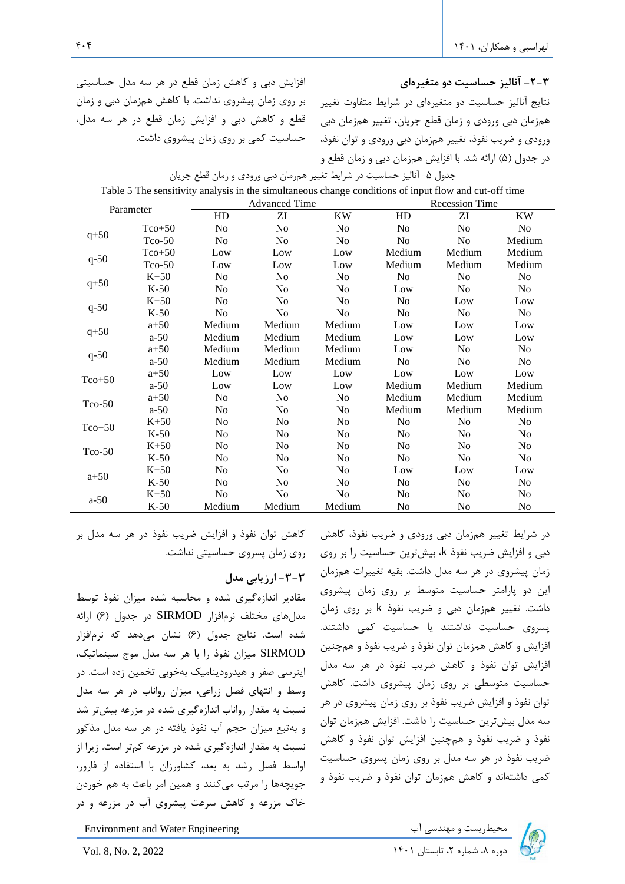افزایش دبی و کاهش زمان قطع در هر سه مدل حساسیتی بر روی زمان پ یشروی نداشت. با کاهش همزمان دبی و زمان قطع و کاهش دبی و افزایش زمان قطع در هر سه مدل، حساسیت کمی بر روی زمان پ یشروی داشت.

**-2-3 آنالیز حساسیت دو متغی رهای**  نتایج آنالیز حساسیت دو متغیرهای در شرایط متفاوت تغییر همزمان دبی ورودی و زمان قطع جریان، تغییر همزمان دبی ورودی و ضریب نفوذ، تغییر همزمان دبی ورودی و توان نفوذ، در جدول )5( ارائه شد. با افزایش همزمان دبی و زمان قطع و

| Parameter   |          | raole of the sensitivity analysis in the simulatic ous enalige conditions of hipat from and cat off third | <b>Advanced Time</b> |                | <b>Recession Time</b> |                |                |
|-------------|----------|-----------------------------------------------------------------------------------------------------------|----------------------|----------------|-----------------------|----------------|----------------|
|             |          | HD                                                                                                        | ZI                   | <b>KW</b>      | HD                    | ZI             | KW             |
|             | $Tco+50$ | No                                                                                                        | No                   | No             | No                    | N <sub>o</sub> | No             |
| $q+50$      | $Tco-50$ | No                                                                                                        | No                   | N <sub>0</sub> | No                    | No             | Medium         |
|             | $Tco+50$ | Low                                                                                                       | Low                  | Low            | Medium                | Medium         | Medium         |
| $q-50$      | $Tco-50$ | Low                                                                                                       | Low                  | Low            | Medium                | Medium         | Medium         |
|             | $K+50$   | No                                                                                                        | N <sub>o</sub>       | N <sub>0</sub> | N <sub>0</sub>        | No             | No             |
| $q+50$      | $K-50$   | No                                                                                                        | No                   | N <sub>0</sub> | Low                   | N <sub>0</sub> | N <sub>0</sub> |
|             | $K+50$   | N <sub>0</sub>                                                                                            | No                   | No             | No                    | Low            | Low            |
| $q-50$      | $K-50$   | No                                                                                                        | N <sub>o</sub>       | N <sub>0</sub> | N <sub>0</sub>        | No             | No             |
|             | $a+50$   | Medium                                                                                                    | Medium               | Medium         | Low                   | Low            | Low            |
| $q+50$      | $a-50$   | Medium                                                                                                    | Medium               | Medium         | Low                   | Low            | Low            |
|             | $a + 50$ | Medium                                                                                                    | Medium               | Medium         | Low                   | N <sub>0</sub> | No             |
| $q - 50$    | $a-50$   | Medium                                                                                                    | Medium               | Medium         | N <sub>0</sub>        | N <sub>0</sub> | N <sub>0</sub> |
| $Tco+50$    | $a+50$   | Low                                                                                                       | Low                  | Low            | Low                   | Low            | Low            |
|             | $a-50$   | Low                                                                                                       | Low                  | Low            | Medium                | Medium         | Medium         |
| $T_{CO-}50$ | $a+50$   | N <sub>o</sub>                                                                                            | No                   | No             | Medium                | Medium         | Medium         |
|             | $a-50$   | No                                                                                                        | N <sub>o</sub>       | No             | Medium                | Medium         | Medium         |
| $Tco+50$    | $K+50$   | N <sub>0</sub>                                                                                            | N <sub>o</sub>       | N <sub>0</sub> | No                    | No             | No             |
|             | $K-50$   | N <sub>0</sub>                                                                                            | N <sub>0</sub>       | N <sub>0</sub> | N <sub>0</sub>        | N <sub>0</sub> | N <sub>0</sub> |
| $Tco-50$    | $K+50$   | No                                                                                                        | N <sub>o</sub>       | N <sub>0</sub> | N <sub>0</sub>        | No             | No             |
|             | $K-50$   | N <sub>0</sub>                                                                                            | N <sub>o</sub>       | N <sub>o</sub> | No                    | N <sub>o</sub> | No             |
| $a+50$      | $K+50$   | N <sub>o</sub>                                                                                            | N <sub>o</sub>       | No             | Low                   | Low            | Low            |
|             | $K-50$   | No                                                                                                        | N <sub>o</sub>       | No             | N <sub>o</sub>        | $\rm No$       | N <sub>o</sub> |
| $a-50$      | $K+50$   | No                                                                                                        | N <sub>0</sub>       | N <sub>0</sub> | N <sub>0</sub>        | N <sub>0</sub> | N <sub>0</sub> |
|             | $K-50$   | Medium                                                                                                    | Medium               | Medium         | N <sub>0</sub>        | N <sub>0</sub> | N <sub>0</sub> |

| جدول ۵- انالیز حساسیت در شرایط تغییر همزمان دبی ورودی و زمان قطع جریان |  |                                                                                                      |
|------------------------------------------------------------------------|--|------------------------------------------------------------------------------------------------------|
|                                                                        |  | Table 5 The consituity analysis in the simultaneous change conditions of input flow and cut off time |

کاهش توان نفوذ و افزایش ضریب نفوذ در هر سه مدل بر روی زمان پسروی حساسیتی نداشت.

## **-3-3 ارزیابی مدل**

مقادیر اندازهگیری شده و محاسبه شده میزان نفوذ توسط مدلهای مختلف نرمافزار SIRMOD در جدول )6( ارائه شده است. نتایج جدول )6( نشان میدهد که نرمافزار SIRMOD میزان نفوذ را با هر سه مدل موج سینماتیک، اینرسی صفر و هیدرودینامیک بهخوبی تخمین زده است. در وسط و انتهای فصل زراعی، میزان رواناب در هر سه مدل نسبت به مقدار رواناب اندازهگیری شده در مزرعه بیشتر شد و بهتبع میزان حجم آب نفوذ یافته در هر سه مدل مذکور نسبت به مقدار اندازهگیری شده در مزرعه کمتر است. زیرا از اواسط فصل رشد به بعد، کشاورزان با استفاده از فارور، جویچهها را مرتب میکنند و همین امر باعث به هم خوردن خاک مزرعه و کاهش سرعت پیشروی آب در مزرعه و در

در شرایط تغییر همزمان دبی ورودی و ضریب نفوذ، کاهش دبی و افزایش ضریب نفوذ k، بیشترین حساسیت را بر روی زمان پیشروی در هر سه مدل داشت. بقیه تغییرات همزمان این دو پارامتر حساسیت متوسط بر روی زمان پیشروی داشت. تغییر همزمان دب ی و ضریب نفوذ k بر روی زمان پسروی حساسیت نداشتند یا حساسیت کمی داشتند. افزایش و کاهش همزمان توان نفوذ و ضریب نفوذ و همچنین افزایش توان نفوذ و کاهش ضر یب نفوذ در هر سه مدل حساسیت متوسطی بر روی زمان پ یشروی داشت. کاهش توان نفوذ و افزایش ضریب نفوذ بر روی زمان پ یشروی در هر سه مدل بیشترین حساسیت را داشت. افزایش همزمان توان نفوذ و ضریب نفوذ و همچنین افزایش توان نفوذ و کاهش ضریب نفوذ در هر سه مدل بر رو ی زمان پسروی حساسیت کمی داشتهاند و کاهش همزمان توان نفوذ و ضریب نفوذ و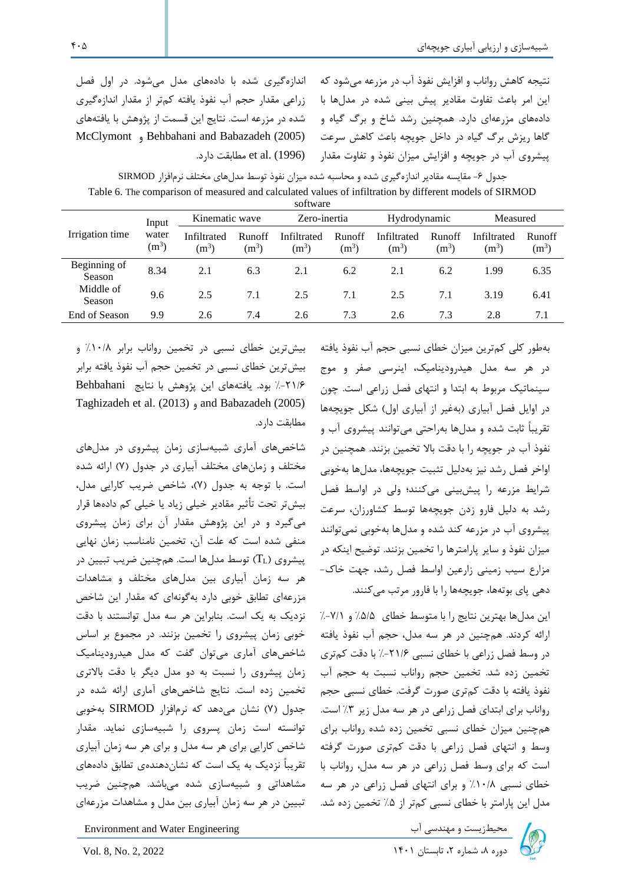نتیجه کاهش رواناب و افزایش نفوذ آب در مزرعه میشود که این امر باعث تفاوت مقادیر پیش بینی شده در مدلها با دادههای مزرعهای دارد. همچنین رشد شاخ و برگ گیاه و گاها ریزش برگ گیاه در داخل جویچه باعث کاهش سرعت پیشروی آب در جویچه و افزایش میزان نفوذ و تفاوت مقدار

اندازهگیری شده با دادههای مدل میشود. در اول فصل زراعی مقدار حجم آب نفوذ یافته کمتر از مقدار اندازهگیری شده در مزرعه است. نتایج این قسمت از پژوهش با یافتههای McClymont و Behbahani and Babazadeh (2005) (1996) .al et مطابقت دارد.

جدول ۶- مقایسه مقادیر اندازهگیری شده و محاسبه شده میزان نفوذ توسط مدلهای مختلف نرمافزار SIRMOD Table 6. The comparison of measured and calculated values of infiltration by different models of SIRMOD software

| oviewaie               |                           |                        |                   |                        |                          |                        |                   |                        |                          |
|------------------------|---------------------------|------------------------|-------------------|------------------------|--------------------------|------------------------|-------------------|------------------------|--------------------------|
| Irrigation time        | Input<br>water<br>$(m^3)$ | Kinematic wave         |                   | Zero-inertia           |                          | Hydrodynamic           |                   | Measured               |                          |
|                        |                           | Infiltrated<br>$(m^3)$ | Runoff<br>$(m^3)$ | Infiltrated<br>$(m^3)$ | <b>Runoff</b><br>$(m^3)$ | Infiltrated<br>$(m^3)$ | Runoff<br>$(m^3)$ | Infiltrated<br>$(m^3)$ | <b>Runoff</b><br>$(m^3)$ |
| Beginning of<br>Season | 8.34                      | 2.1                    | 6.3               | 2.1                    | 6.2                      | 2.1                    | 6.2               | 1.99                   | 6.35                     |
| Middle of<br>Season    | 9.6                       | 2.5                    | 7.1               | 2.5                    | 7.1                      | 2.5                    | 7.1               | 3.19                   | 6.41                     |
| End of Season          | 9.9                       | 2.6                    | 7.4               | 2.6                    | 7.3                      | 2.6                    | 7.3               | 2.8                    | 7.1                      |

بهطور کلی کمترین میزان خطای نسبی حجم آب نفوذ یافته در هر سه مدل هیدرودینامیک، اینرسی صفر و موج سینماتیک مربو به ابتدا و انتهای فصل زراعی است. چون در اوایل فصل آبیاری )بهغیر از آبیاری اول( شکل جویچهها تقریباً ثابت شده و مدلها بهراحتی میتوانند پیشروی آب و نفوذ آب در جویچه را با دقت باال تخمین بزنند. همچنین در اواخر فصل رشد نیز بهدلیل تثبیت جویچهها، مدلها بهخوبی شرایط مزرعه را پیشبینی میکنند؛ ولی در اواسط فصل رشد به دلیل فارو زدن جویچهها توسط کشاورزان، سرعت پیشروی آب در مزرعه کند شده و مدل ها بهخوبی نمیتوانند میزان نفوذ و سایر پارامترها را تخمین بزنند. توضیح اینکه در مزارع سیب زمینی زارعین اواسط فصل رشد، جهت خاک- دهی پای بوتهها، جویچهها را با فارور مرتب میکنند.

این مدلها بهترین نتایج را با متوسط خطای %5/5 و %-7/1 ارائه کردند. همچنین در هر سه مدل، حجم آب نفوذ یافته در وسط فصل زراعی با خطای نسبی %-21/6 با دقت کمتری تخمین زده شد. تخمین حجم رواناب نسبت به حجم آب نفوذ یافته با دقت کمتری صورت گرفت. خطای نسبی حجم رواناب برای ابتدای فصل زراعی در هر سه مدل زیر %3 است. همچنین میزان خطای نسبی تخمین زده شده رواناب برای وسط و انتهای فصل زراعی با دقت کمتری صورت گرفته است که برای وسط فصل زراعی در هر سه مدل، رواناب با خطای نسبی %10/8 و برای انتهای فصل زراعی در هر سه مدل این پارامتر با خطای نسبی کمتر از %5 تخمین زده شد.

بیشترین خطای نسبی در تخمین رواناب برابر %10/8 و بیشترین خطای نسبی در تخمین حجم آب نفوذ یافته برابر %-21/6 بود. یافتههای این پژوهش با نتایج Behbahani Taghizadeh et al. (2013) و and Babazadeh (2005) مطابقت دارد.

شاخصهای آماری شبیهسازی زمان پیشروی در مدلهای مختلف و زمانهای مختلف آبیاری در جدول )7( ارائه شده است. با توجه به جدول (٧)، شاخص ضریب کارایی مدل، بیشتر تحت تأثیر مقادیر خیلی زیاد یا خیلی کم داده ها قرار میگیرد و در این پژوهش مقدار آن برای زمان پیشروی منفی شده است که علت آن، تخمین نامناسب زمان نهایی پیشروی ( $T_L$ ) توسط مدلها است. همچنین ضریب تبیین در هر سه زمان آبیاری بین مدل های مختلف و مشاهدات مزرعهای تطابق خوبی دارد به گونهای که مقدار این شاخص نزدیک به یک است. بنابراین هر سه مدل توانستند با دقت خوبی زمان پیشروی را تخمین بزنند. در مجموع بر اساس شاخصهای آماری میتوان گفت که مدل هیدرودینامیک زمان پیشروی را نسبت به دو مدل دیگر با دقت باالتری تخمین زده است. نتایج شاخصهای آماری ارائه شده در جدول )7( نشان میدهد که نرمافزار SIRMOD بهخوبی توانسته است زمان پسروی را شبیهسازی نماید. مقدار شاخص کارایی برای هر سه مدل و برای هر سه زمان آبیاری تقریباً نزدیک به یک است که نشاندهندهی تطابق دادههای مشاهداتی و شبیهسازی شده میباشد. همچنین ضریب تبیین در هر سه زمان آبیاری بین مدل و مشاهدات مزرعهای

محیطزیست و مهندسی آب Environment and Water Engineering محیطزیست و مهندسی آب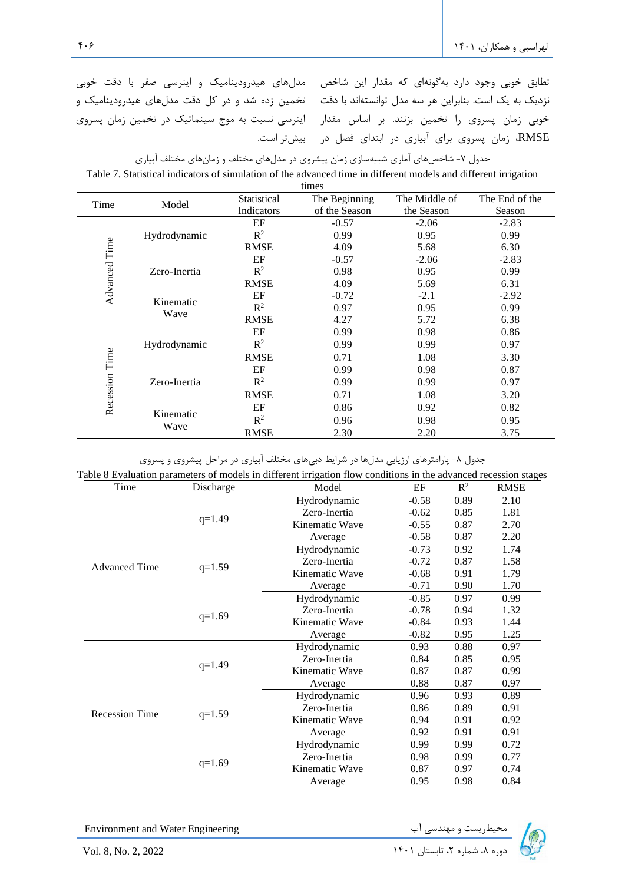نطابق خوبی وجود دارد بهگونهای که مقدار این شاخص 5مدلهای هیدرودینامیک و اینرسی صفر با دقت خوبی نزدیک به یک است. بنابراین هر سه مدل توانستهاند با دقت گتخمین زده شد و در کل دقت مدلهای هیدرودینامیک و خوبی زمان پسروی را تخمین بزنند. بر اساس مقدار 5اینرسی نسبت به موج سینماتیک در تخمین زمان پسروی

RMSE، زمان پسروی برای آبیاری در ابتدای فصل در بیشتر است.

جدول ۷- شاخصهای آماری شبیهسازی زمان پیشروی در مدلهای مختلف و زمانهای مختلف آبیاری Table 7. Statistical indicators of simulation of the advanced time in different models and different irrigation

| times          |              |                |               |               |                |  |  |
|----------------|--------------|----------------|---------------|---------------|----------------|--|--|
| Time           | Model        | Statistical    | The Beginning | The Middle of | The End of the |  |  |
|                |              | Indicators     | of the Season | the Season    | Season         |  |  |
| Advanced Time  |              | EF             | $-0.57$       | $-2.06$       | $-2.83$        |  |  |
|                | Hydrodynamic | R <sup>2</sup> | 0.99          | 0.95          | 0.99           |  |  |
|                |              | <b>RMSE</b>    | 4.09          | 5.68          | 6.30           |  |  |
|                |              | EF             | $-0.57$       | $-2.06$       | $-2.83$        |  |  |
|                | Zero-Inertia | $R^2$          | 0.98          | 0.95          | 0.99           |  |  |
|                |              | <b>RMSE</b>    | 4.09          | 5.69          | 6.31           |  |  |
|                | Kinematic    | EF             | $-0.72$       | $-2.1$        | $-2.92$        |  |  |
|                | Wave         | $\mathbb{R}^2$ | 0.97          | 0.95          | 0.99           |  |  |
|                |              | <b>RMSE</b>    | 4.27          | 5.72          | 6.38           |  |  |
|                |              | EF             | 0.99          | 0.98          | 0.86           |  |  |
|                | Hydrodynamic | $R^2$          | 0.99          | 0.99          | 0.97           |  |  |
|                |              | <b>RMSE</b>    | 0.71          | 1.08          | 3.30           |  |  |
| Recession Time |              | EF             | 0.99          | 0.98          | 0.87           |  |  |
|                | Zero-Inertia | $R^2$          | 0.99          | 0.99          | 0.97           |  |  |
|                |              | <b>RMSE</b>    | 0.71          | 1.08          | 3.20           |  |  |
|                |              | EF             | 0.86          | 0.92          | 0.82           |  |  |
|                | Kinematic    | $R^2$          | 0.96          | 0.98          | 0.95           |  |  |
|                | Wave         | <b>RMSE</b>    | 2.30          | 2.20          | 3.75           |  |  |

جدول ۸- پارامترهای ارزیابی مدلها در شرایط دبیهای مختلف آبیاری در مراحل پیشروی و پسروی

| Time<br>Discharge     |          | Model          | EF      | $R^2$ | <b>RMSE</b> |  |
|-----------------------|----------|----------------|---------|-------|-------------|--|
|                       |          | Hydrodynamic   | $-0.58$ | 0.89  | 2.10        |  |
|                       | $q=1.49$ | Zero-Inertia   | $-0.62$ | 0.85  | 1.81        |  |
|                       |          | Kinematic Wave | $-0.55$ | 0.87  | 2.70        |  |
|                       |          | Average        | $-0.58$ | 0.87  | 2.20        |  |
|                       | $q=1.59$ | Hydrodynamic   | $-0.73$ | 0.92  | 1.74        |  |
| <b>Advanced Time</b>  |          | Zero-Inertia   | $-0.72$ | 0.87  | 1.58        |  |
|                       |          | Kinematic Wave | $-0.68$ | 0.91  | 1.79        |  |
|                       |          | Average        | $-0.71$ | 0.90  | 1.70        |  |
|                       | $q=1.69$ | Hydrodynamic   | $-0.85$ | 0.97  | 0.99        |  |
|                       |          | Zero-Inertia   | $-0.78$ | 0.94  | 1.32        |  |
|                       |          | Kinematic Wave | $-0.84$ | 0.93  | 1.44        |  |
|                       |          | Average        | $-0.82$ | 0.95  | 1.25        |  |
|                       | $q=1.49$ | Hydrodynamic   | 0.93    | 0.88  | 0.97        |  |
|                       |          | Zero-Inertia   | 0.84    | 0.85  | 0.95        |  |
|                       |          | Kinematic Wave | 0.87    | 0.87  | 0.99        |  |
|                       |          | Average        | 0.88    | 0.87  | 0.97        |  |
|                       |          | Hydrodynamic   | 0.96    | 0.93  | 0.89        |  |
|                       | $q=1.59$ | Zero-Inertia   | 0.86    | 0.89  | 0.91        |  |
| <b>Recession Time</b> |          | Kinematic Wave | 0.94    | 0.91  | 0.92        |  |
|                       |          | Average        | 0.92    | 0.91  | 0.91        |  |
|                       |          | Hydrodynamic   | 0.99    | 0.99  | 0.72        |  |
|                       |          | Zero-Inertia   | 0.98    | 0.99  | 0.77        |  |
|                       | $q=1.69$ | Kinematic Wave | 0.87    | 0.97  | 0.74        |  |
|                       |          | Average        | 0.95    | 0.98  | 0.84        |  |

Environment and Water Engineering دوره به شماریست و مهندسی آب Environment and Water Engineering<br>دوره ۸، شماره ۲، تابستان ۱۴۰۱ استان ۱۴۰۱ Ivol. 8, No. 2, 2022

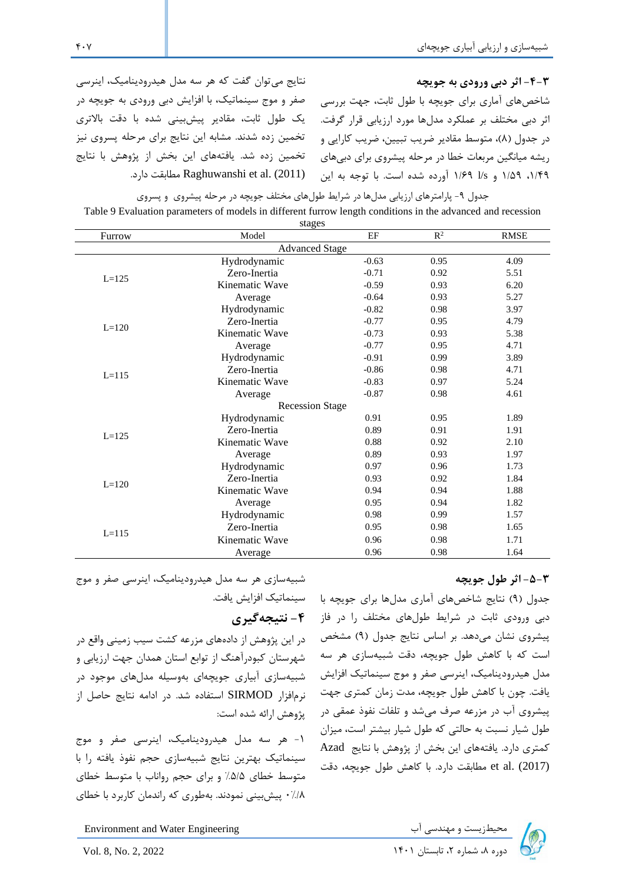### **-4-3 اثر دبی ورودی به جویچه**

نتایج می توان گفت که هر سه مدل هیدرودینامیک، اینرسی صفر و موج سینماتیک، با افزایش دبی ورودی به جویچه در یک طول ثابت، مقادیر پیشبینی شده با دقت باالتری تخمین زده شدند. مشابه این نتایج برای مرحله پسروی نیز تخمین زده شد. یافتههای این بخش از پژوهش با نتایج .دارد مطابقت Raghuwanshi et al. (2011)

شاخصهای آماری برای جویچه با طول ثابت، جهت بررسی اثر دبی مختلف بر عملکرد مدلها مورد ارزیابی قرار گرفت. در جدول (٨)، متوسط مقادیر ضریب تبیین، ضریب کارایی و ریشه میانگین مربعات خطا در مرحله پیشروی برای دبیهای ،1/49 1/59 و s/l 1/69 آورده شده است. با توجه به این

جدول -9 پارامترهای ارزیابی مدلها در شرایط طولهای مختلف جویچه در مرحله پیشروی و پسروی Table 9 Evaluation parameters of models in different furrow length conditions in the advanced and recession

| stages                 |                |         |                |             |  |  |  |  |
|------------------------|----------------|---------|----------------|-------------|--|--|--|--|
| Furrow                 | Model          | EF      | $\mathbb{R}^2$ | <b>RMSE</b> |  |  |  |  |
| <b>Advanced Stage</b>  |                |         |                |             |  |  |  |  |
|                        | Hydrodynamic   | $-0.63$ | 0.95           | 4.09        |  |  |  |  |
| $L = 125$              | Zero-Inertia   | $-0.71$ | 0.92           | 5.51        |  |  |  |  |
|                        | Kinematic Wave | $-0.59$ | 0.93           | 6.20        |  |  |  |  |
|                        | Average        | $-0.64$ | 0.93           | 5.27        |  |  |  |  |
|                        | Hydrodynamic   | $-0.82$ | 0.98           | 3.97        |  |  |  |  |
| $L = 120$              | Zero-Inertia   | $-0.77$ | 0.95           | 4.79        |  |  |  |  |
|                        | Kinematic Wave | $-0.73$ | 0.93           | 5.38        |  |  |  |  |
|                        | Average        | $-0.77$ | 0.95           | 4.71        |  |  |  |  |
|                        | Hydrodynamic   | $-0.91$ | 0.99           | 3.89        |  |  |  |  |
| $L = 115$              | Zero-Inertia   | $-0.86$ | 0.98           | 4.71        |  |  |  |  |
|                        | Kinematic Wave | $-0.83$ | 0.97           | 5.24        |  |  |  |  |
|                        | Average        | $-0.87$ | 0.98           | 4.61        |  |  |  |  |
| <b>Recession Stage</b> |                |         |                |             |  |  |  |  |
|                        | Hydrodynamic   | 0.91    | 0.95           | 1.89        |  |  |  |  |
| $L = 125$              | Zero-Inertia   | 0.89    | 0.91           | 1.91        |  |  |  |  |
|                        | Kinematic Wave | 0.88    | 0.92           | 2.10        |  |  |  |  |
|                        | Average        | 0.89    | 0.93           | 1.97        |  |  |  |  |
|                        | Hydrodynamic   | 0.97    | 0.96           | 1.73        |  |  |  |  |
| $L = 120$              | Zero-Inertia   | 0.93    | 0.92           | 1.84        |  |  |  |  |
|                        | Kinematic Wave | 0.94    | 0.94           | 1.88        |  |  |  |  |
|                        | Average        | 0.95    | 0.94           | 1.82        |  |  |  |  |
|                        | Hydrodynamic   | 0.98    | 0.99           | 1.57        |  |  |  |  |
| $L = 115$              | Zero-Inertia   | 0.95    | 0.98           | 1.65        |  |  |  |  |
|                        | Kinematic Wave | 0.96    | 0.98           | 1.71        |  |  |  |  |
|                        | Average        | 0.96    | 0.98           | 1.64        |  |  |  |  |
|                        |                |         |                |             |  |  |  |  |

### **-5-3 اثر طول جویچه**

جدول (۹) نتایج شاخصهای آماری مدلها برای جویچه با دبی ورودی ثابت در شرایط طولهای مختلف را در فاز پیشروی نشان میدهد. بر اساس نتایج جدول )9( مشخص است که با کاهش طول جویچه، دقت شبیهسازی هر سه مدل هیدرودینامیک، اینرسی صفر و موج سینماتیک افزایش یافت. چون با کاهش طول جویچه، مدت زمان کمتری جهت پیشروی آب در مزرعه صرف میشد و تلفات نفوذ عمقی در طول شیار نسبت به حالتی که طول شیار بیشتر است، میزان کمتری دارد. یافتههای این بخش از پژوهش با نتایج Azad (2017) .al et مطابقت دارد. با کاهش طول جویچه، دقت

**-4 نتیجهگیری**  در این پژوهش از داده های مزرعه کشت سیب زمینی واقع در

شبیهسازی هر سه مدل هیدرودینامیک، اینرسی صفر و موج

سینماتیک افزایش یافت.

شهرستان کبودرآهنگ از توابع استان همدان جهت ارزیابی و شبیهسازی آبیاری جویچهای بهوسیله مدلهای موجود در نرمافزار SIRMOD استفاده شد. در ادامه نتایج حاصل از پژوهش ارائه شده است:

-1 هر سه مدل هیدرودینامیک، اینرسی صفر و موج سینماتیک بهترین نتایج شبیه سازی حجم نفوذ یافته را با متوسط خطای %5/5 و برای حجم رواناب با متوسط خطای 0%/8 پیشبینی نمودند. بهطوری که راندمان کاربرد با خطای

Environment and Water Engineering دوره به الساب المحیطزیست و مهندسی اب استان ۱۴۰۱ Invironment and Water Engineering<br>دوره ۸، شماره ۲، تابستان ۱۴۰۱ I۴۰۱ استان ۱۴۰۱

 $\mathbf{f} \cdot \mathbf{V}$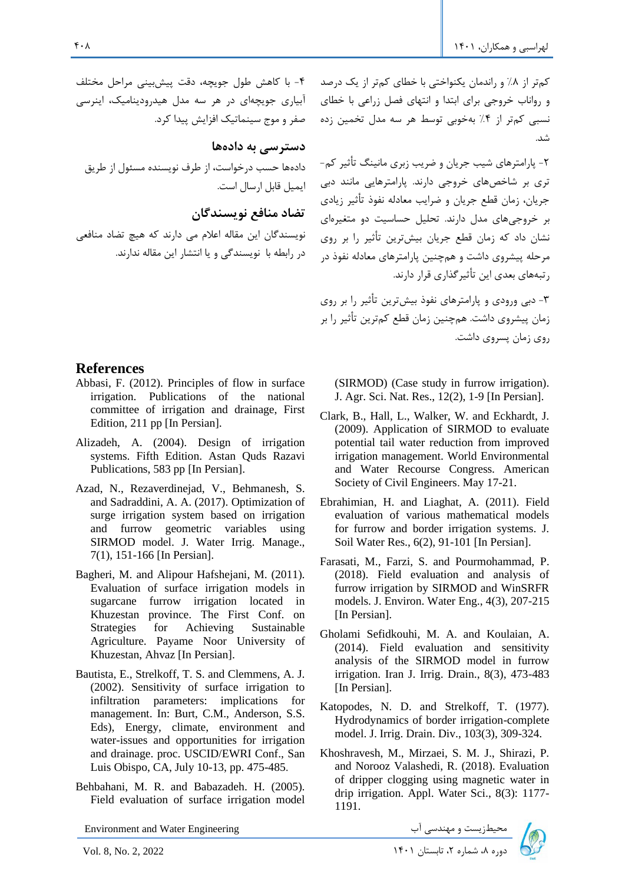کمتر از %8 و راندمان یکنواختی با خطای کمتر از یک درصد و رواناب خروجی برای ابتدا و انتهای فصل زراعی با خطای آبیاری جویچه ای در هر سه مدل هیدرودینامیک، اینرسی نسبی کمتر از %4 به خوبی توسط هر سه مدل تخمین زده شد.

> -2 پارامترهای شیب جریان و ضریب زبری مانینگ تأثیر کم- تری بر شاخصهای خروجی دارند. پارامترهایی مانند دبی جریان، زمان قطع جریان و ضرایب معادله نفوذ تأثیر زیادی بر خروجیهای مدل دارند. تحلیل حساسیت دو متغیرهای نشان داد که زمان قطع جریان بیشترین تأثیر را بر روی مرحله پ یشروی داشت و همچنین پارامترهای معادله نفوذ در رتبه های بعدی این تأثیرگذاری قرار دارند.

-3 دبی ورودی و پارامترهای نفوذ بیشترین تأثیر را بر روی زمان پ یشروی داشت. همچنین زمان قطع کم ترین تأثیر را بر روی زمان پسروی داشت.

### **References**

Abbasi, F. (2012). Principles of flow in surface irrigation. Publications of the national committee of irrigation and drainage, First Edition, 211 pp [In Persian].

-4 با کاهش طول جویچه، دقت پیشبینی مراحل مختلف

دادهها حسب درخواست، از طرف نویسنده مسئول از طریق

نویسندگان این مقاله اعالم می دارند که هیچ تضاد منافعی

در رابطه با نویسندگی و یا انتشار این مقاله ندارند .

صفر و موج سینماتیک افزایش پیدا کرد.

**دسترسی به داده ها**

ایمیل قابل ارسال است.

**تضاد منافع نویسندگان** 

- Alizadeh, A. (2004). Design of irrigation systems. Fifth Edition. Astan Quds Razavi Publications, 583 pp [In Persian].
- Azad, N., Rezaverdinejad, V., Behmanesh, S. and Sadraddini, A. A. (2017). Optimization of surge irrigation system based on irrigation and furrow geometric variables using SIRMOD model. J. Water Irrig. Manage., 7(1), 151-166 [In Persian].
- Bagheri, M. and Alipour Hafshejani, M. (2011). Evaluation of surface irrigation models in sugarcane furrow irrigation located in Khuzestan province. The First Conf. on Strategies for Achieving Sustainable Agriculture. Payame Noor University of Khuzestan, Ahvaz [In Persian].
- Bautista, E., Strelkoff, T. S. and Clemmens, A. J. (2002). Sensitivity of surface irrigation to infiltration parameters: implications for management. In: Burt, C.M., Anderson, S.S. Eds), Energy, climate, environment and water-issues and opportunities for irrigation and drainage. proc. USCID/EWRI Conf., San Luis Obispo, CA, July 10-13, pp. 475-485 .
- Behbahani, M. R. and Babazadeh. H. (2005). Field evaluation of surface irrigation model

Environment and Water Engineering دوره بالدوره معتدل السابعة والمهندسي آب المعيطزيست و مهندلسي آب المعيطزيست و مهندلسي آب المعيطزيست و مهندلسي آ<br>دوره بال شماره ۲، تابستان ۱۴۰۱ كنوره ماسم معيد المعداد 7، المستان ۱۴۰۱ كنوره بالمعلوم بالمعلوم بالمعلوم بالمعل

(SIRMOD) (Case study in furrow irrigation). J. Agr. Sci. Nat. Res., 12(2), 1-9 [In Persian].

- Clark, B., Hall, L., Walker, W. and Eckhardt, J. (2009). Application of SIRMOD to evaluate potential tail water reduction from improved irrigation management. World Environmental and Water Recourse Congress. American Society of Civil Engineers. May 17-21.
- Ebrahimian, H. and Liaghat, A. (2011). Field evaluation of various mathematical models for furrow and border irrigation systems. J. Soil Water Res., 6(2), 91-101 [In Persian].
- Farasati, M., Farzi, S. and Pourmohammad, P. (2018). Field evaluation and analysis of furrow irrigation by SIRMOD and WinSRFR models. J. Environ. Water Eng., 4(3), 207-215 [In Persian].
- Gholami Sefidkouhi, M. A. and Koulaian, A. (2014). Field evaluation and sensitivity analysis of the SIRMOD model in furrow irrigation. Iran J. Irrig. Drain., 8(3), 473-483 [In Persian].
- Katopodes, N. D. and Strelkoff, T. (1977). Hydrodynamics of border irrigation-complete model. J. Irrig. Drain. Div., 103(3), 309-324.
- Khoshravesh, M., Mirzaei, S. M. J., Shirazi, P. and Norooz Valashedi, R. (2018). Evaluation of dripper clogging using magnetic water in drip irrigation. Appl. Water Sci., 8(3): 1177- 1191.

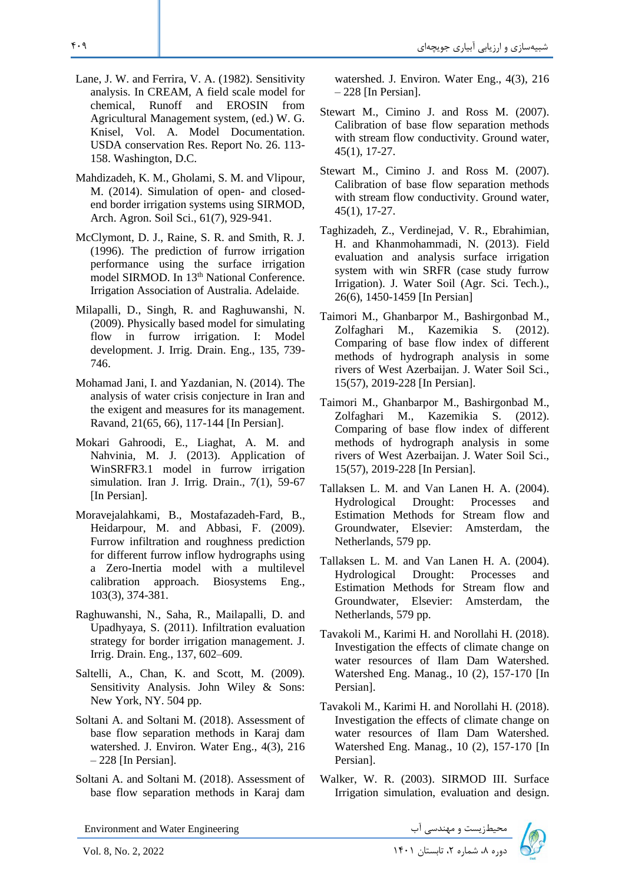- Lane, J. W. and Ferrira, V. A. (1982). Sensitivity analysis. In CREAM, A field scale model for chemical, Runoff and EROSIN from Agricultural Management system, (ed.) W. G. Knisel, Vol. A. Model Documentation. USDA conservation Res. Report No. 26. 113- 158. Washington, D.C.
- Mahdizadeh, K. M., Gholami, S. M. and Vlipour, M. (2014). Simulation of open- and closedend border irrigation systems using SIRMOD, Arch. Agron. Soil Sci., 61(7), 929-941.
- McClymont, D. J., Raine, S. R. and Smith, R. J. (1996). The prediction of furrow irrigation performance using the surface irrigation model SIRMOD. In 13<sup>th</sup> National Conference. Irrigation Association of Australia. Adelaide .
- Milapalli, D., Singh, R. and Raghuwanshi, N. (2009). Physically based model for simulating flow in furrow irrigation. I: Model development. J. Irrig. Drain. Eng., 135, 739- 746.
- Mohamad Jani, I. and Yazdanian, N. (2014). The analysis of water crisis conjecture in Iran and the exigent and measures for its management. Ravand, 21(65, 66), 117-144 [In Persian].
- Mokari Gahroodi, E., Liaghat, A. M. and Nahvinia, M. J. (2013). Application of WinSRFR3.1 model in furrow irrigation simulation. Iran J. Irrig. Drain., 7(1), 59-67 [In Persian].
- Moravejalahkami, B., Mostafazadeh-Fard, B., Heidarpour, M. and Abbasi, F. (2009). Furrow infiltration and roughness prediction for different furrow inflow hydrographs using a Zero-Inertia model with a multilevel calibration approach. Biosystems Eng., 103(3), 374-381.
- Raghuwanshi, N., Saha, R., Mailapalli, D. and Upadhyaya, S. (2011). Infiltration evaluation strategy for border irrigation management. J. Irrig. Drain. Eng., 137, 602–609.
- Saltelli, A., Chan, K. and Scott, M. (2009). Sensitivity Analysis. John Wiley & Sons: New York, NY. 504 pp.
- Soltani A. and Soltani M. (2018). Assessment of base flow separation methods in Karaj dam watershed. J. Environ. Water Eng., 4(3), 216 – 228 [In Persian].
- Soltani A. and Soltani M. (2018). Assessment of base flow separation methods in Karaj dam

Environment and Water Engineering دیم السته و مهندسی آب ( Environment and Water Engineering<br>دوره ۸، شماره ۲، تابستان ۱۴۰۱ ایستان ۱۴۰۱ I۴۰۱ ایستان ۱۴۰۱ 2022 2, 2022 Alex

watershed. J. Environ. Water Eng., 4(3), 216 – 228 [In Persian].

- Stewart M., Cimino J. and Ross M. (2007). Calibration of base flow separation methods with stream flow conductivity. Ground water, 45(1), 17-27.
- Stewart M., Cimino J. and Ross M. (2007). Calibration of base flow separation methods with stream flow conductivity. Ground water, 45(1), 17-27.
- Taghizadeh, Z., Verdinejad, V. R., Ebrahimian, H. and Khanmohammadi, N. (2013). Field evaluation and analysis surface irrigation system with win SRFR (case study furrow Irrigation). J. Water Soil (Agr. Sci. Tech.)., 26(6), 1450-1459 [In Persian]
- Taimori M., Ghanbarpor M., Bashirgonbad M., Zolfaghari M., Kazemikia S. (2012). Comparing of base flow index of different methods of hydrograph analysis in some rivers of West Azerbaijan. J. Water Soil Sci., 15(57), 2019-228 [In Persian].
- Taimori M., Ghanbarpor M., Bashirgonbad M., Zolfaghari M., Kazemikia S. (2012). Comparing of base flow index of different methods of hydrograph analysis in some rivers of West Azerbaijan. J. Water Soil Sci., 15(57), 2019-228 [In Persian].
- Tallaksen L. M. and Van Lanen H. A. (2004). Hydrological Drought: Processes and Estimation Methods for Stream flow and Groundwater, Elsevier: Amsterdam, the Netherlands, 579 pp.
- Tallaksen L. M. and Van Lanen H. A. (2004). Hydrological Drought: Processes and Estimation Methods for Stream flow and Groundwater, Elsevier: Amsterdam, the Netherlands, 579 pp.
- Tavakoli M., Karimi H. and Norollahi H. (2018). Investigation the effects of climate change on water resources of Ilam Dam Watershed. Watershed Eng. Manag., 10 (2), 157-170 [In Persian].
- Tavakoli M., Karimi H. and Norollahi H. (2018). Investigation the effects of climate change on water resources of Ilam Dam Watershed. Watershed Eng. Manag., 10 (2), 157-170 [In Persian].
- Walker, W. R. (2003). SIRMOD III. Surface Irrigation simulation, evaluation and design.